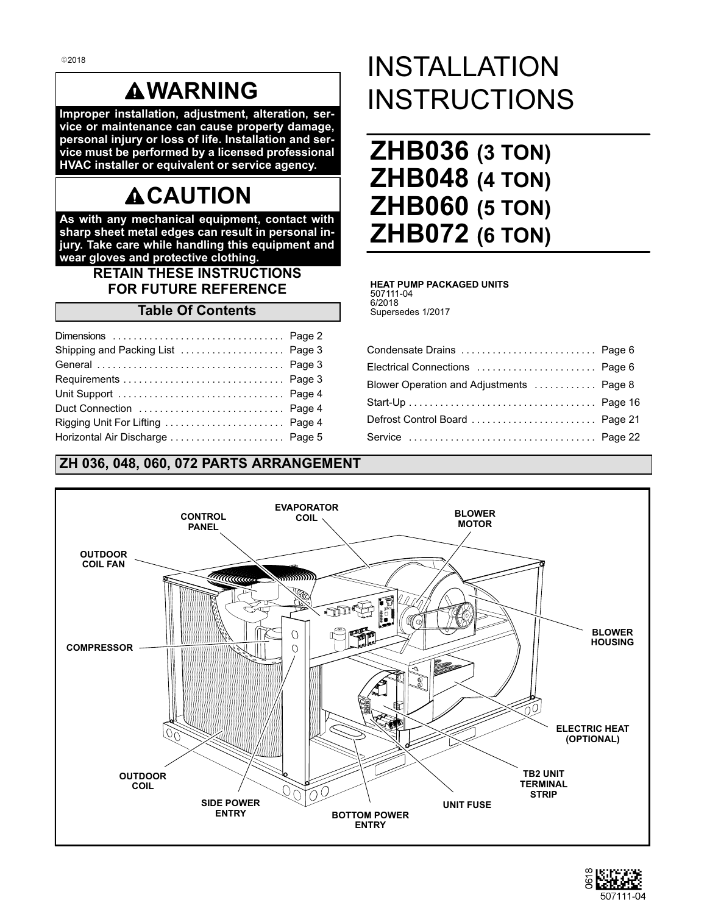# **WARNING**

**Improper installation, adjustment, alteration, service or maintenance can cause property damage, personal injury or loss of life. Installation and service must be performed by a licensed professional HVAC installer or equivalent or service agency.**

# **ACAUTION**

**As with any mechanical equipment, contact with sharp sheet metal edges can result in personal injury. Take care while handling this equipment and wear gloves and protective clothing.**

# **RETAIN THESE INSTRUCTIONS FOR FUTURE REFERENCE**

# **Table Of Contents**

| Rigging Unit For Lifting  Page 4 |  |
|----------------------------------|--|
| Horizontal Air Discharge  Page 5 |  |

**OUTDOOR COIL**

**ZH 036, 048, 060, 072 PARTS ARRANGEMENT**

**SIDE POWER ENTRY**

# INSTALLATION INSTRUCTIONS

| <b>ZHB036 (3 TON)</b> |  |
|-----------------------|--|
| <b>ZHB048 (4 TON)</b> |  |
| <b>ZHB060 (5 TON)</b> |  |
| <b>ZHB072 (6 TON)</b> |  |

#### **HEAT PUMP PACKAGED UNITS** 507111-04 6/2018 Supersedes 1/2017

Condensate Drains .................................. [Page 6](#page-5-0) Electrical Connections ............................... [Page 6](#page-5-0) Blower Operation and Adjustments ............. [Page 8](#page-7-0) Start-Up [Page 16](#page-15-0) .................................... Defrost Control Board [Page 21](#page-20-0) ........................ Service [Page 22](#page-21-0) ....................................

#### **EVAPORATOR BLOWER CONTROL COIL MOTOR PANEL OUTDOOR COIL FAN** UMMun , SSSSS W **BLOWER** M  $\circ$ **HOUSING COMPRESSOR**  $\circ$  $\parallel$ 60 **ELECTRIC HEAT (OPTIONAL)**

**BOTTOM POWER ENTRY**

**UNIT FUSE**

**TB2 UNIT TERMINAL STRIP**

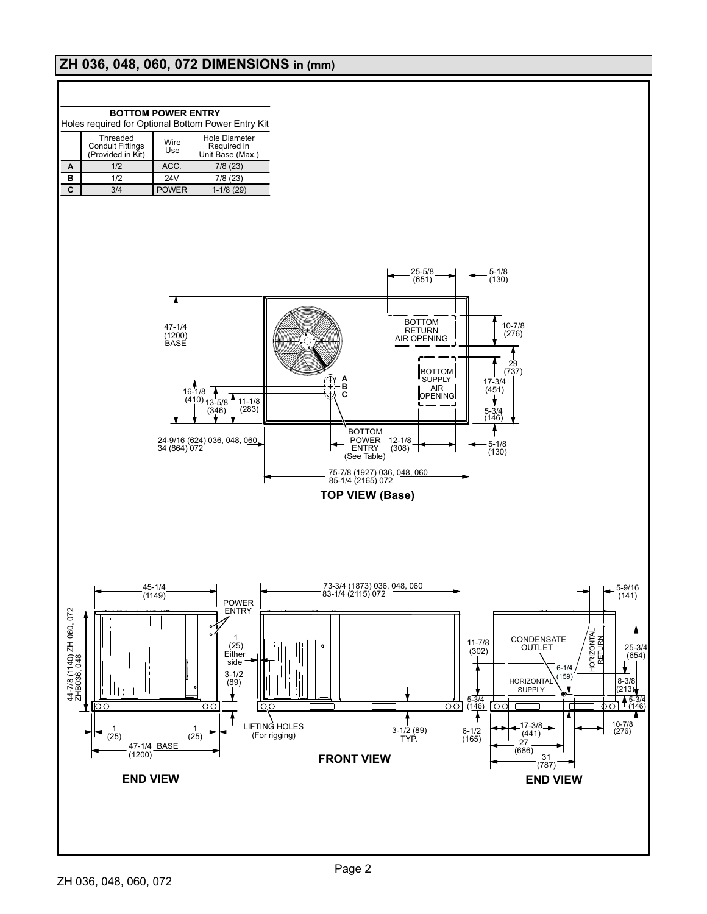# <span id="page-1-0"></span>**ZH 036, 048, 060, 072 DIMENSIONS in (mm)**

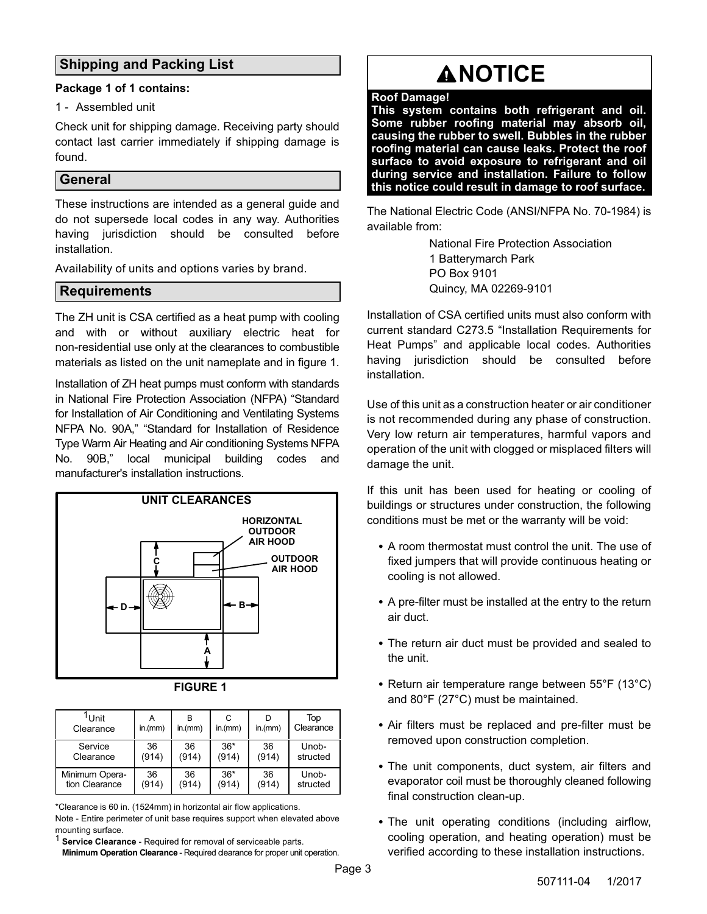# <span id="page-2-0"></span>**Shipping and Packing List**

#### **Package 1 of 1 contains:**

1 - Assembled unit

Check unit for shipping damage. Receiving party should contact last carrier immediately if shipping damage is found.

# **General**

These instructions are intended as a general guide and do not supersede local codes in any way. Authorities having jurisdiction should be consulted before installation.

Availability of units and options varies by brand.

# **Requirements**

The ZH unit is CSA certified as a heat pump with cooling and with or without auxiliary electric heat for non-residential use only at the clearances to combustible materials as listed on the unit nameplate and in figure 1.

Installation of ZH heat pumps must conform with standards in National Fire Protection Association (NFPA) "Standard for Installation of Air Conditioning and Ventilating Systems NFPA No. 90A," "Standard for Installation of Residence Type Warm Air Heating and Air conditioning Systems NFPA No. 90B," local municipal building codes and manufacturer's installation instructions.



| <b>FIGURE</b> |  |
|---------------|--|
|---------------|--|

| <sup>1</sup> Unit<br>Clearance | in.(mm) | in.(mm) | C<br>in.(mm) | in.(mm) | Top<br>Clearance |
|--------------------------------|---------|---------|--------------|---------|------------------|
| Service                        | 36      | 36      | $36*$        | 36      | Unob-            |
| Clearance                      | (914)   | (914)   | (914)        | (914)   | structed         |
| Minimum Opera-                 | 36      | 36      | $36*$        | 36      | Unob-            |
| tion Clearance                 | (914)   | (914)   | (914)        | (914)   | structed         |

\*Clearance is 60 in. (1524mm) in horizontal air flow applications.

Note - Entire perimeter of unit base requires support when elevated above mounting surface.

**Service Clearance - Required for removal of serviceable parts. Minimum Operation Clearance** - Required clearance for proper unit operation.

# **ANOTICE**

#### **Roof Damage!**

**This system contains both refrigerant and oil. Some rubber roofing material may absorb oil, causing the rubber to swell. Bubbles in the rubber roofing material can cause leaks. Protect the roof surface to avoid exposure to refrigerant and oil during service and installation. Failure to follow this notice could result in damage to roof surface.**

The National Electric Code (ANSI/NFPA No. 70-1984) is available from:

> National Fire Protection Association 1 Batterymarch Park PO Box 9101 Quincy, MA 02269-9101

Installation of CSA certified units must also conform with current standard C273.5 "Installation Requirements for Heat Pumps" and applicable local codes. Authorities having jurisdiction should be consulted before installation.

Use of this unit as a construction heater or air conditioner is not recommended during any phase of construction. Very low return air temperatures, harmful vapors and operation of the unit with clogged or misplaced filters will damage the unit.

If this unit has been used for heating or cooling of buildings or structures under construction, the following conditions must be met or the warranty will be void:

- A room thermostat must control the unit. The use of fixed jumpers that will provide continuous heating or cooling is not allowed.
- A pre-filter must be installed at the entry to the return air duct.
- The return air duct must be provided and sealed to the unit.
- Return air temperature range between 55°F (13°C) and 80°F (27°C) must be maintained.
- Air filters must be replaced and pre-filter must be removed upon construction completion.
- The unit components, duct system, air filters and evaporator coil must be thoroughly cleaned following final construction clean-up.
- The unit operating conditions (including airflow, cooling operation, and heating operation) must be verified according to these installation instructions.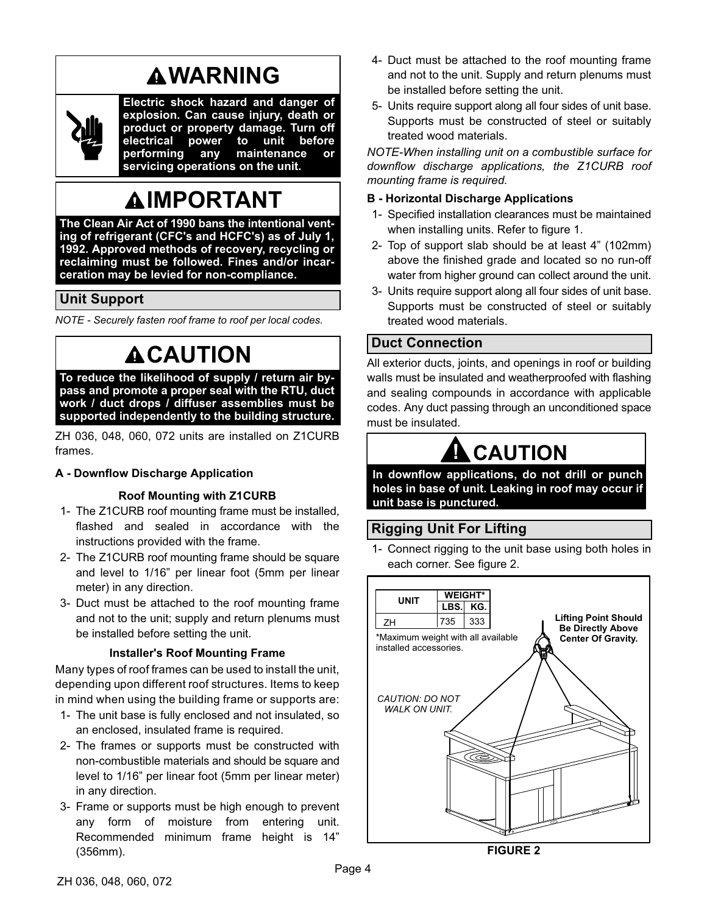# **WARNING**

<span id="page-3-0"></span>

**Electric shock hazard and danger of explosion. Can cause injury, death or product or property damage. Turn off electrical power to unit before maintenance or servicing operations on the unit.**

# **IMPORTANT**

**The Clean Air Act of 1990 bans the intentional venting of refrigerant (CFC's and HCFC's) as of July 1, 1992. Approved methods of recovery, recycling or reclaiming must be followed. Fines and/or incarceration may be levied for non-compliance.**

# **Unit Support**

*NOTE - Securely fasten roof frame to roof per local codes.*

# **ACAUTION**

**To reduce the likelihood of supply / return air bypass and promote a proper seal with the RTU, duct work / duct drops / diffuser assemblies must be supported independently to the building structure.**

ZH 036, 048, 060, 072 units are installed on Z1CURB frames.

# **A - Downflow Discharge Application**

# **Roof Mounting with Z1CURB**

- 1- The Z1CURB roof mounting frame must be installed, flashed and sealed in accordance with the instructions provided with the frame.
- 2- The Z1CURB roof mounting frame should be square and level to 1/16" per linear foot (5mm per linear meter) in any direction.
- 3- Duct must be attached to the roof mounting frame and not to the unit; supply and return plenums must be installed before setting the unit.

# **Installer's Roof Mounting Frame**

Many types of roof frames can be used to install the unit, depending upon different roof structures. Items to keep in mind when using the building frame or supports are:

- 1- The unit base is fully enclosed and not insulated, so an enclosed, insulated frame is required.
- 2- The frames or supports must be constructed with non-combustible materials and should be square and level to 1/16" per linear foot (5mm per linear meter) in any direction.
- 3- Frame or supports must be high enough to prevent any form of moisture from entering unit. Recommended minimum frame height is 14" (356mm).
- 4- Duct must be attached to the roof mounting frame and not to the unit. Supply and return plenums must be installed before setting the unit.
- 5- Units require support along all four sides of unit base. Supports must be constructed of steel or suitably treated wood materials.

*NOTE-When installing unit on a combustible surface for downflow discharge applications, the Z1CURB roof mounting frame is required.*

# **B - Horizontal Discharge Applications**

- 1- Specified installation clearances must be maintained when installing units. Refer to figure 1.
- 2- Top of support slab should be at least 4" (102mm) above the finished grade and located so no run-off water from higher ground can collect around the unit.
- 3- Units require support along all four sides of unit base. Supports must be constructed of steel or suitably treated wood materials.

# **Duct Connection**

All exterior ducts, joints, and openings in roof or building walls must be insulated and weatherproofed with flashing and sealing compounds in accordance with applicable codes. Any duct passing through an unconditioned space must be insulated.

# **! CAUTION**

**In downflow applications, do not drill or punch holes in base of unit. Leaking in roof may occur if unit base is punctured.**

# **Rigging Unit For Lifting**

1- Connect rigging to the unit base using both holes in each corner. See figure 2.



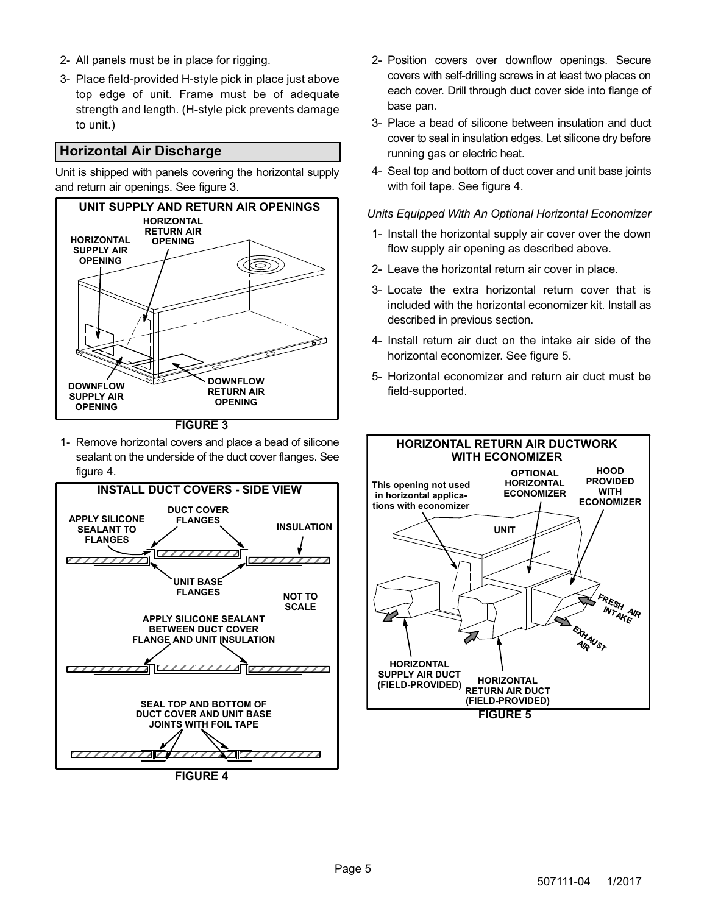- <span id="page-4-0"></span>2- All panels must be in place for rigging.
- 3- Place field‐provided H‐style pick in place just above top edge of unit. Frame must be of adequate strength and length. (H-style pick prevents damage to unit.)

# **Horizontal Air Discharge**

Unit is shipped with panels covering the horizontal supply and return air openings. See figure 3.



**FIGURE 3**

1- Remove horizontal covers and place a bead of silicone sealant on the underside of the duct cover flanges. See figure 4.



**FIGURE 4**

- 2- Position covers over downflow openings. Secure covers with self-drilling screws in at least two places on each cover. Drill through duct cover side into flange of base pan.
- 3- Place a bead of silicone between insulation and duct cover to seal in insulation edges. Let silicone dry before running gas or electric heat.
- 4- Seal top and bottom of duct cover and unit base joints with foil tape. See figure 4.

#### *Units Equipped With An Optional Horizontal Economizer*

- 1- Install the horizontal supply air cover over the down flow supply air opening as described above.
- 2- Leave the horizontal return air cover in place.
- 3- Locate the extra horizontal return cover that is included with the horizontal economizer kit. Install as described in previous section.
- 4- Install return air duct on the intake air side of the horizontal economizer. See figure 5.
- 5- Horizontal economizer and return air duct must be field-supported.

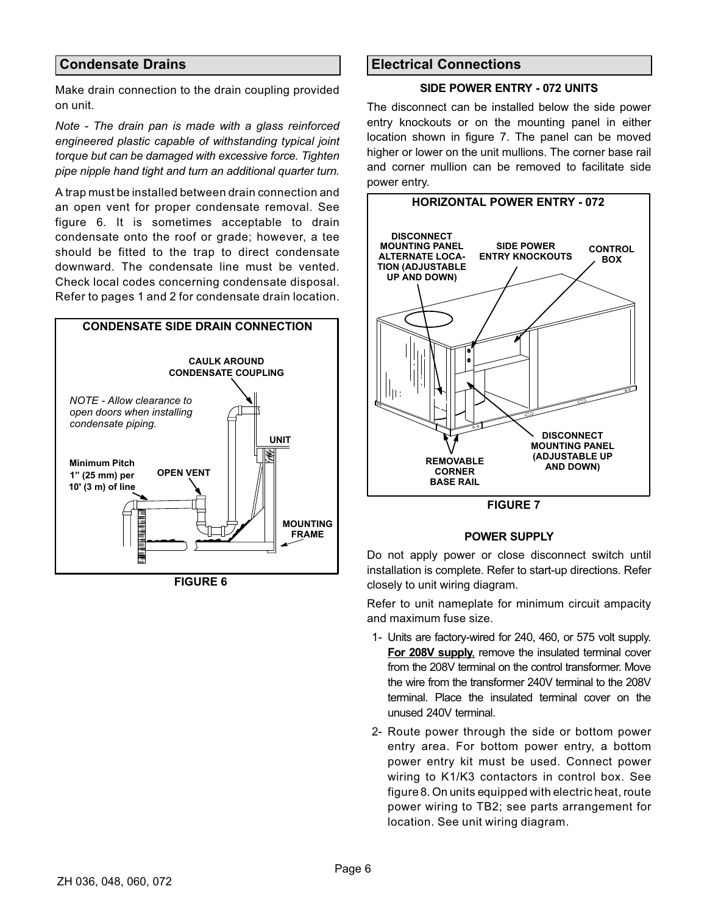# <span id="page-5-0"></span>**Condensate Drains**

Make drain connection to the drain coupling provided on unit.

*Note - The drain pan is made with a glass reinforced engineered plastic capable of withstanding typical joint torque but can be damaged with excessive force. Tighten pipe nipple hand tight and turn an additional quarter turn.*

A trap must be installed between drain connection and an open vent for proper condensate removal. See figure 6. It is sometimes acceptable to drain condensate onto the roof or grade; however, a tee should be fitted to the trap to direct condensate downward. The condensate line must be vented. Check local codes concerning condensate disposal. Refer to pages 1 and 2 for condensate drain location.



**FIGURE 6**

# **Electrical Connections**

#### **SIDE POWER ENTRY - 072 UNITS**

The disconnect can be installed below the side power entry knockouts or on the mounting panel in either location shown in figure 7. The panel can be moved higher or lower on the unit mullions. The corner base rail and corner mullion can be removed to facilitate side power entry.



**FIGURE 7**

#### **POWER SUPPLY**

<del>■</del> △ △ △ △ △ △ △ △ △ △ △ △ Do not apply power or close disconnect switch until ÁÁ installation is complete. Refer to start-up directions. Refer closely to unit wiring diagram.

> Refer to unit nameplate for minimum circuit ampacity and maximum fuse size.

- 1- Units are factory-wired for 240, 460, or 575 volt supply. **For 208V supply**, remove the insulated terminal cover from the 208V terminal on the control transformer. Move the wire from the transformer 240V terminal to the 208V terminal. Place the insulated terminal cover on the unused 240V terminal.
- 2- Route power through the side or bottom power entry area. For bottom power entry, a bottom power entry kit must be used. Connect power wiring to K1/K3 contactors in control box. See figure [8.](#page-6-0) On units equipped with electric heat, route power wiring to TB2; see parts arrangement for location. See unit wiring diagram.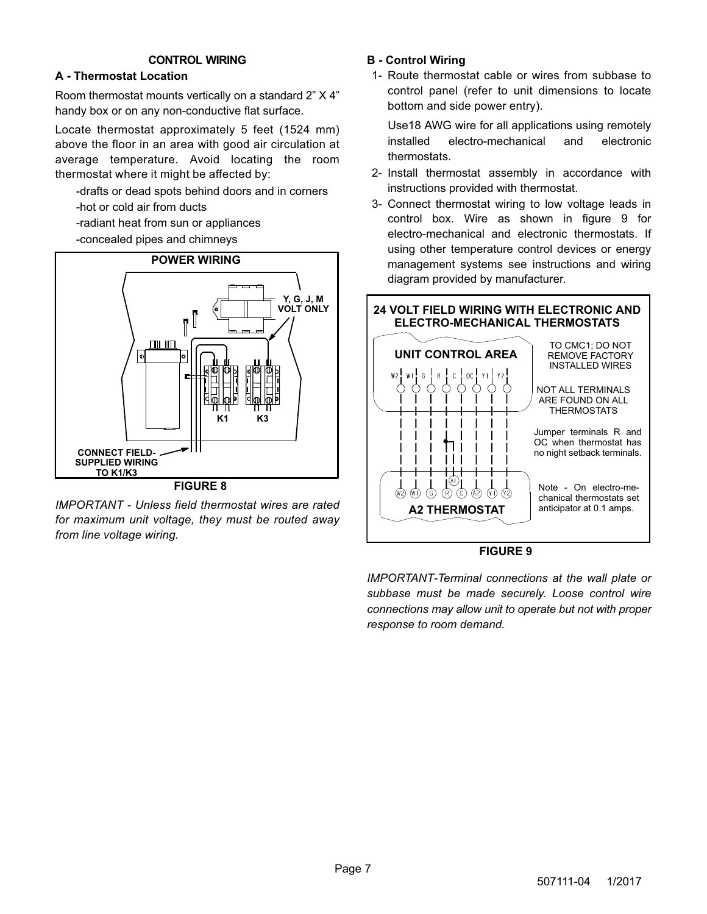### **CONTROL WIRING**

### <span id="page-6-0"></span>**A - Thermostat Location**

Room thermostat mounts vertically on a standard 2" X 4" handy box or on any non-conductive flat surface.

Locate thermostat approximately 5 feet (1524 mm) above the floor in an area with good air circulation at average temperature. Avoid locating the room thermostat where it might be affected by:

-drafts or dead spots behind doors and in corners -hot or cold air from ducts

- -radiant heat from sun or appliances
- -concealed pipes and chimneys



*IMPORTANT - Unless field thermostat wires are rated for maximum unit voltage, they must be routed away from line voltage wiring.*

### **B - Control Wiring**

1- Route thermostat cable or wires from subbase to control panel (refer to unit dimensions to locate bottom and side power entry).

Use18 AWG wire for all applications using remotely installed electro-mechanical and electronic thermostats.

- 2- Install thermostat assembly in accordance with instructions provided with thermostat.
- 3- Connect thermostat wiring to low voltage leads in control box. Wire as shown in figure 9 for electro-mechanical and electronic thermostats. If using other temperature control devices or energy management systems see instructions and wiring diagram provided by manufacturer.



### **FIGURE 9**

*IMPORTANT-Terminal connections at the wall plate or subbase must be made securely. Loose control wire connections may allow unit to operate but not with proper response to room demand.*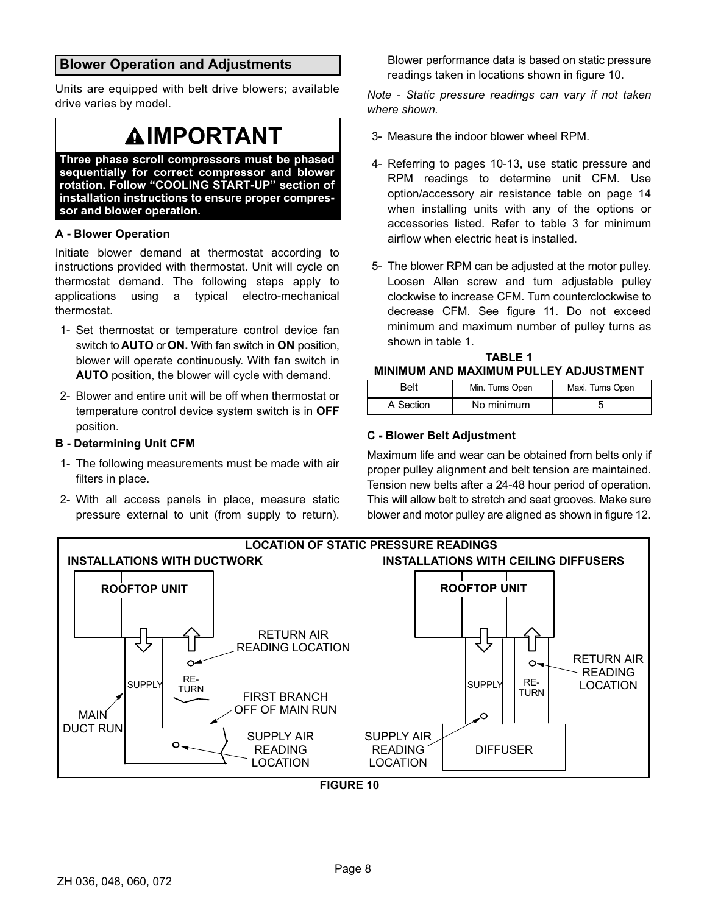# <span id="page-7-0"></span>**Blower Operation and Adjustments**

Units are equipped with belt drive blowers; available drive varies by model.

# **IMPORTANT**

**Three phase scroll compressors must be phased sequentially for correct compressor and blower rotation. Follow "COOLING START-UP" section of installation instructions to ensure proper compressor and blower operation.**

#### **A - Blower Operation**

Initiate blower demand at thermostat according to instructions provided with thermostat. Unit will cycle on thermostat demand. The following steps apply to applications using a typical electro-mechanical thermostat.

- 1- Set thermostat or temperature control device fan switch to **AUTO** or **ON.** With fan switch in **ON** position, blower will operate continuously. With fan switch in **AUTO** position, the blower will cycle with demand.
- 2- Blower and entire unit will be off when thermostat or temperature control device system switch is in **OFF** position.

#### **B - Determining Unit CFM**

- 1- The following measurements must be made with air filters in place.
- 2- With all access panels in place, measure static pressure external to unit (from supply to return).

Blower performance data is based on static pressure readings taken in locations shown in figure 10.

*Note - Static pressure readings can vary if not taken where shown.*

- 3- Measure the indoor blower wheel RPM.
- 4- Referring to pages 10-13, use static pressure and RPM readings to determine unit CFM. Use option/accessory air resistance table on page 14 when installing units with any of the options or accessories listed. Refer to table [3](#page-15-0) for minimum airflow when electric heat is installed.
- 5- The blower RPM can be adjusted at the motor pulley. Loosen Allen screw and turn adjustable pulley clockwise to increase CFM. Turn counterclockwise to decrease CFM. See figure [11](#page-8-0). Do not exceed minimum and maximum number of pulley turns as shown in table 1.

#### **TABLE 1 MINIMUM AND MAXIMUM PULLEY ADJUSTMENT**

| Belt      | Min. Turns Open | Maxi. Turns Open |
|-----------|-----------------|------------------|
| A Section | No minimum      |                  |

### **C - Blower Belt Adjustment**

Maximum life and wear can be obtained from belts only if proper pulley alignment and belt tension are maintained. Tension new belts after a 24-48 hour period of operation. This will allow belt to stretch and seat grooves. Make sure blower and motor pulley are aligned as shown in figure [12](#page-8-0).



**FIGURE 10**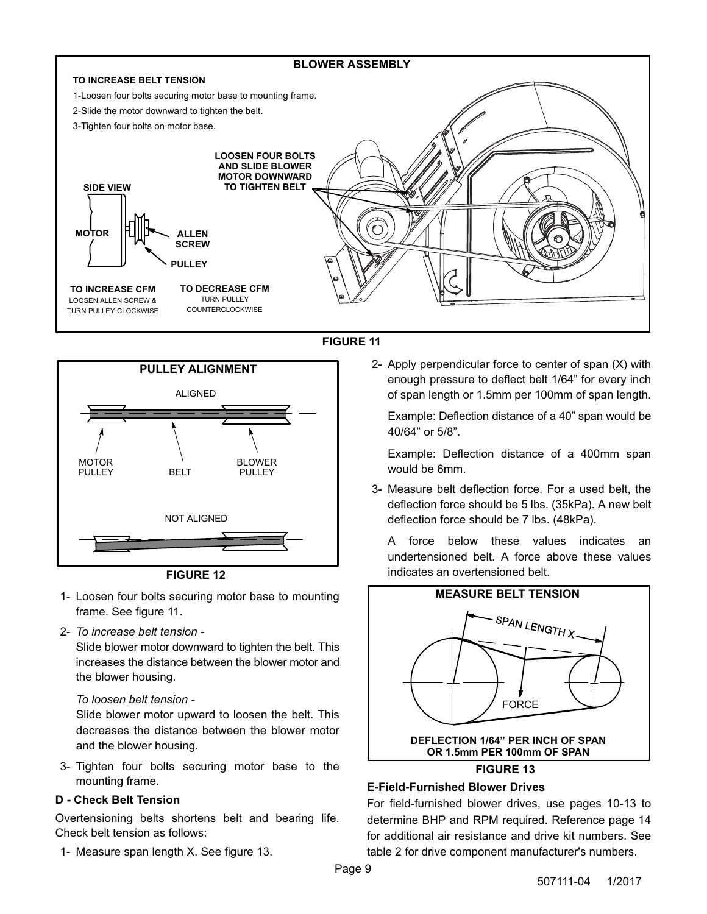<span id="page-8-0"></span>







- 1- Loosen four bolts securing motor base to mounting frame. See figure 11.
- 2- *To increase belt tension -*

Slide blower motor downward to tighten the belt. This increases the distance between the blower motor and the blower housing.

### *To loosen belt tension -*

Slide blower motor upward to loosen the belt. This decreases the distance between the blower motor and the blower housing.

3- Tighten four bolts securing motor base to the mounting frame.

### **D - Check Belt Tension**

Overtensioning belts shortens belt and bearing life. Check belt tension as follows:

1- Measure span length X. See figure 13.

2- Apply perpendicular force to center of span (X) with enough pressure to deflect belt 1/64" for every inch of span length or 1.5mm per 100mm of span length.

Example: Deflection distance of a 40" span would be 40/64" or 5/8".

Example: Deflection distance of a 400mm span would be 6mm.

3- Measure belt deflection force. For a used belt, the deflection force should be 5 lbs. (35kPa). A new belt deflection force should be 7 lbs. (48kPa).

A force below these values indicates an undertensioned belt. A force above these values indicates an overtensioned belt.



# **E-Field-Furnished Blower Drives**

For field-furnished blower drives, use pages 10-13 to determine BHP and RPM required. Reference page 14 for additional air resistance and drive kit numbers. See table [2](#page-15-0) for drive component manufacturer's numbers.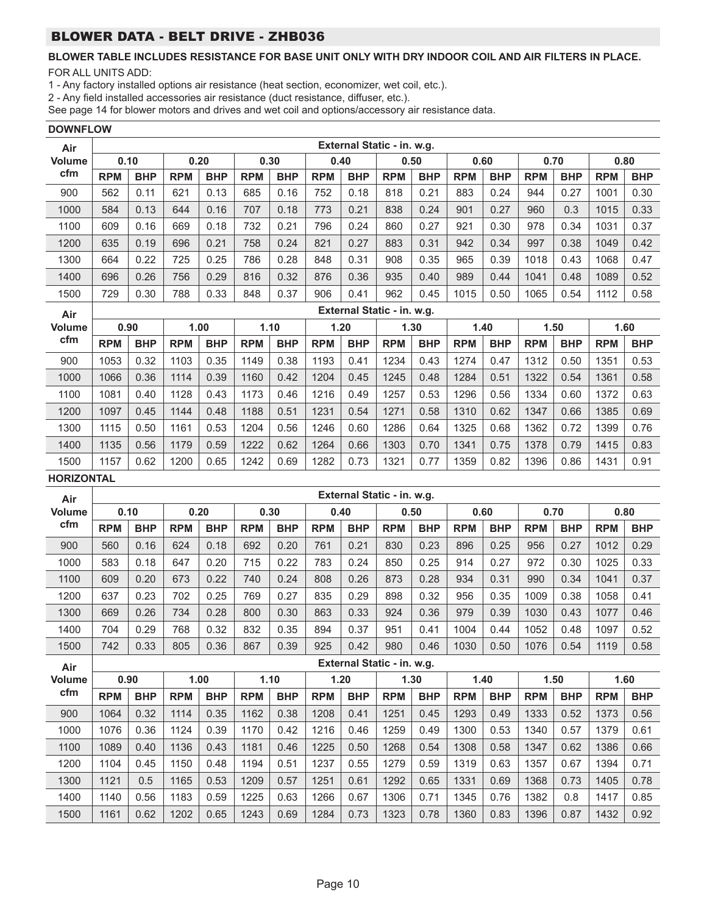# **BLOWER TABLE INCLUDES RESISTANCE FOR BASE UNIT ONLY WITH DRY INDOOR COIL AND AIR FILTERS IN PLACE.**

FOR ALL UNITS ADD:

1 - Any factory installed options air resistance (heat section, economizer, wet coil, etc.).

2 - Any field installed accessories air resistance (duct resistance, diffuser, etc.).

See page 14 for blower motors and drives and wet coil and options/accessory air resistance data.

| <b>DOWNFLOW</b> |            |            |            |            |            |            |            |            |                            |            |            |            |            |            |            |            |
|-----------------|------------|------------|------------|------------|------------|------------|------------|------------|----------------------------|------------|------------|------------|------------|------------|------------|------------|
| Air             |            |            |            |            |            |            |            |            | External Static - in. w.g. |            |            |            |            |            |            |            |
| <b>Volume</b>   |            | 0.10       |            | 0.20       |            | 0.30       |            | 0.40       |                            | 0.50       | 0.60       |            | 0.70       |            |            | 0.80       |
| cfm             | <b>RPM</b> | <b>BHP</b> | <b>RPM</b> | <b>BHP</b> | <b>RPM</b> | <b>BHP</b> | <b>RPM</b> | <b>BHP</b> | <b>RPM</b>                 | <b>BHP</b> | <b>RPM</b> | <b>BHP</b> | <b>RPM</b> | <b>BHP</b> | <b>RPM</b> | <b>BHP</b> |
| 900             | 562        | 0.11       | 621        | 0.13       | 685        | 0.16       | 752        | 0.18       | 818                        | 0.21       | 883        | 0.24       | 944        | 0.27       | 1001       | 0.30       |
| 1000            | 584        | 0.13       | 644        | 0.16       | 707        | 0.18       | 773        | 0.21       | 838                        | 0.24       | 901        | 0.27       | 960        | 0.3        | 1015       | 0.33       |
| 1100            | 609        | 0.16       | 669        | 0.18       | 732        | 0.21       | 796        | 0.24       | 860                        | 0.27       | 921        | 0.30       | 978        | 0.34       | 1031       | 0.37       |
| 1200            | 635        | 0.19       | 696        | 0.21       | 758        | 0.24       | 821        | 0.27       | 883                        | 0.31       | 942        | 0.34       | 997        | 0.38       | 1049       | 0.42       |
| 1300            | 664        | 0.22       | 725        | 0.25       | 786        | 0.28       | 848        | 0.31       | 908                        | 0.35       | 965        | 0.39       | 1018       | 0.43       | 1068       | 0.47       |
| 1400            | 696        | 0.26       | 756        | 0.29       | 816        | 0.32       | 876        | 0.36       | 935                        | 0.40       | 989        | 0.44       | 1041       | 0.48       | 1089       | 0.52       |
| 1500            | 729        | 0.30       | 788        | 0.33       | 848        | 0.37       | 906        | 0.41       | 962                        | 0.45       | 1015       | 0.50       | 1065       | 0.54       | 1112       | 0.58       |
| Air             |            |            |            |            |            |            |            |            | External Static - in. w.g. |            |            |            |            |            |            |            |
| <b>Volume</b>   |            | 0.90       |            | 1.00       |            | 1.10       |            | 1.20       |                            | 1.30       | 1.40       |            | 1.50       |            | 1.60       |            |
| cfm             | <b>RPM</b> | <b>BHP</b> | <b>RPM</b> | <b>BHP</b> | <b>RPM</b> | <b>BHP</b> | <b>RPM</b> | <b>BHP</b> | <b>RPM</b>                 | <b>BHP</b> | <b>RPM</b> | <b>BHP</b> | <b>RPM</b> | <b>BHP</b> | <b>RPM</b> | <b>BHP</b> |
| 900             | 1053       | 0.32       | 1103       | 0.35       | 1149       | 0.38       | 1193       | 0.41       | 1234                       | 0.43       | 1274       | 0.47       | 1312       | 0.50       | 1351       | 0.53       |
| 1000            | 1066       | 0.36       | 1114       | 0.39       | 1160       | 0.42       | 1204       | 0.45       | 1245                       | 0.48       | 1284       | 0.51       | 1322       | 0.54       | 1361       | 0.58       |
| 1100            | 1081       | 0.40       | 1128       | 0.43       | 1173       | 0.46       | 1216       | 0.49       | 1257                       | 0.53       | 1296       | 0.56       | 1334       | 0.60       | 1372       | 0.63       |
| 1200            | 1097       | 0.45       | 1144       | 0.48       | 1188       | 0.51       | 1231       | 0.54       | 1271                       | 0.58       | 1310       | 0.62       | 1347       | 0.66       | 1385       | 0.69       |
| 1300            | 1115       | 0.50       | 1161       | 0.53       | 1204       | 0.56       | 1246       | 0.60       | 1286                       | 0.64       | 1325       | 0.68       | 1362       | 0.72       | 1399       | 0.76       |
| 1400            | 1135       | 0.56       | 1179       | 0.59       | 1222       | 0.62       | 1264       | 0.66       | 1303                       | 0.70       | 1341       | 0.75       | 1378       | 0.79       | 1415       | 0.83       |
| 1500            | 1157       | 0.62       | 1200       | 0.65       | 1242       | 0.69       | 1282       | 0.73       | 1321                       | 0.77       | 1359       | 0.82       | 1396       | 0.86       | 1431       | 0.91       |

#### **HORIZONTAL**

| Air                  | External Static - in. w.g. |            |            |            |            |            |            |            |            |            |            |            |            |            |            |            |
|----------------------|----------------------------|------------|------------|------------|------------|------------|------------|------------|------------|------------|------------|------------|------------|------------|------------|------------|
| <b>Volume</b>        |                            | 0.10       |            | 0.20       |            | 0.30       |            | 0.40       |            | 0.50       | 0.60       |            |            | 0.70       |            | 0.80       |
| cfm                  | <b>RPM</b>                 | <b>BHP</b> | <b>RPM</b> | <b>BHP</b> | <b>RPM</b> | <b>BHP</b> | <b>RPM</b> | <b>BHP</b> | <b>RPM</b> | <b>BHP</b> | <b>RPM</b> | <b>BHP</b> | <b>RPM</b> | <b>BHP</b> | <b>RPM</b> | <b>BHP</b> |
| 900                  | 560                        | 0.16       | 624        | 0.18       | 692        | 0.20       | 761        | 0.21       | 830        | 0.23       | 896        | 0.25       | 956        | 0.27       | 1012       | 0.29       |
| 1000                 | 583                        | 0.18       | 647        | 0.20       | 715        | 0.22       | 783        | 0.24       | 850        | 0.25       | 914        | 0.27       | 972        | 0.30       | 1025       | 0.33       |
| 1100                 | 609                        | 0.20       | 673        | 0.22       | 740        | 0.24       | 808        | 0.26       | 873        | 0.28       | 934        | 0.31       | 990        | 0.34       | 1041       | 0.37       |
| 1200                 | 637                        | 0.23       | 702        | 0.25       | 769        | 0.27       | 835        | 0.29       | 898        | 0.32       | 956        | 0.35       | 1009       | 0.38       | 1058       | 0.41       |
| 1300                 | 669                        | 0.26       | 734        | 0.28       | 800        | 0.30       | 863        | 0.33       | 924        | 0.36       | 979        | 0.39       | 1030       | 0.43       | 1077       | 0.46       |
| 1400                 | 704                        | 0.29       | 768        | 0.32       | 832        | 0.35       | 894        | 0.37       | 951        | 0.41       | 1004       | 0.44       | 1052       | 0.48       | 1097       | 0.52       |
| 1500                 | 742                        | 0.33       | 805        | 0.36       | 867        | 0.39       | 925        | 0.42       | 980        | 0.46       | 1030       | 0.50       | 1076       | 0.54       | 1119       | 0.58       |
|                      | External Static - in. w.g. |            |            |            |            |            |            |            |            |            |            |            |            |            |            |            |
|                      |                            |            |            |            |            |            |            |            |            |            |            |            |            |            |            |            |
| Air<br><b>Volume</b> |                            | 0.90       |            | 1.00       |            | 1.10       |            | 1.20       |            | 1.30       |            | 1.40       |            | 1.50       |            | 1.60       |
| cfm                  | <b>RPM</b>                 | <b>BHP</b> | <b>RPM</b> | <b>BHP</b> | <b>RPM</b> | <b>BHP</b> | <b>RPM</b> | <b>BHP</b> | <b>RPM</b> | <b>BHP</b> | <b>RPM</b> | <b>BHP</b> | <b>RPM</b> | <b>BHP</b> | <b>RPM</b> | <b>BHP</b> |
| 900                  | 1064                       | 0.32       | 1114       | 0.35       | 1162       | 0.38       | 1208       | 0.41       | 1251       | 0.45       | 1293       | 0.49       | 1333       | 0.52       | 1373       | 0.56       |
| 1000                 | 1076                       | 0.36       | 1124       | 0.39       | 1170       | 0.42       | 1216       | 0.46       | 1259       | 0.49       | 1300       | 0.53       | 1340       | 0.57       | 1379       | 0.61       |
| 1100                 | 1089                       | 0.40       | 1136       | 0.43       | 1181       | 0.46       | 1225       | 0.50       | 1268       | 0.54       | 1308       | 0.58       | 1347       | 0.62       | 1386       | 0.66       |
| 1200                 | 1104                       | 0.45       | 1150       | 0.48       | 1194       | 0.51       | 1237       | 0.55       | 1279       | 0.59       | 1319       | 0.63       | 1357       | 0.67       | 1394       | 0.71       |
| 1300                 | 1121                       | 0.5        | 1165       | 0.53       | 1209       | 0.57       | 1251       | 0.61       | 1292       | 0.65       | 1331       | 0.69       | 1368       | 0.73       | 1405       | 0.78       |
| 1400                 | 1140                       | 0.56       | 1183       | 0.59       | 1225       | 0.63       | 1266       | 0.67       | 1306       | 0.71       | 1345       | 0.76       | 1382       | 0.8        | 1417       | 0.85       |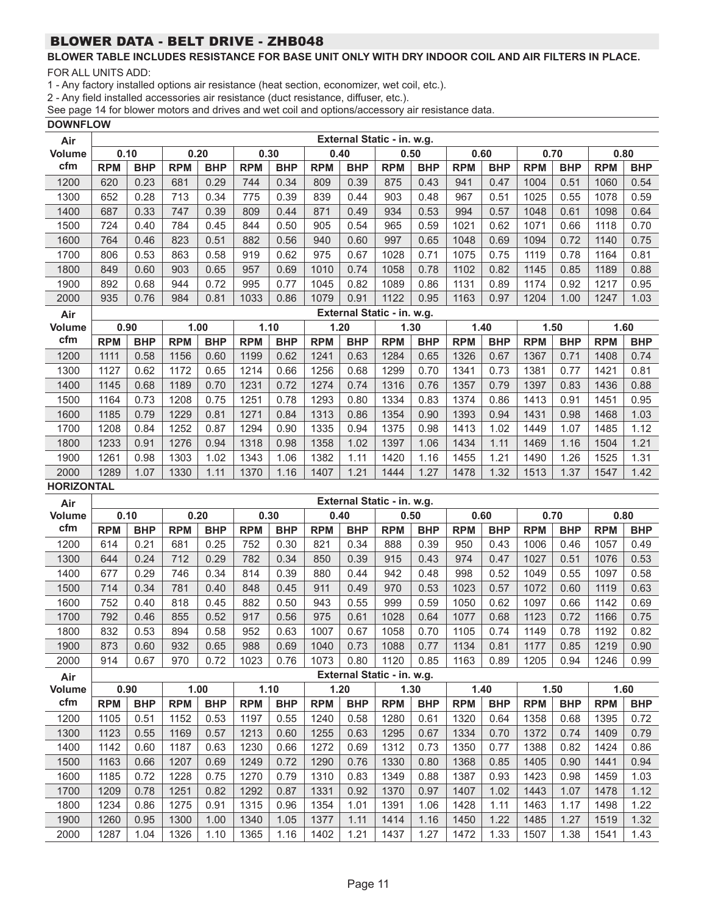# **BLOWER TABLE INCLUDES RESISTANCE FOR BASE UNIT ONLY WITH DRY INDOOR COIL AND AIR FILTERS IN PLACE.**

FOR ALL UNITS ADD:

1 - Any factory installed options air resistance (heat section, economizer, wet coil, etc.).

2 - Any field installed accessories air resistance (duct resistance, diffuser, etc.).

See page 14 for blower motors and drives and wet coil and options/accessory air resistance data.

### **DOWNFLOW**

| Air               | External Static - in. w.g. |              |              |              |              |              |              |              |                            |              |              |              |              |              |              |              |
|-------------------|----------------------------|--------------|--------------|--------------|--------------|--------------|--------------|--------------|----------------------------|--------------|--------------|--------------|--------------|--------------|--------------|--------------|
| Volume            | 0.10                       |              |              | 0.20         | 0.30         |              | 0.40         |              | 0.50                       |              | 0.60         |              | 0.70         |              | 0.80         |              |
| cfm               | <b>RPM</b>                 | <b>BHP</b>   | <b>RPM</b>   | <b>BHP</b>   | <b>RPM</b>   | <b>BHP</b>   | <b>RPM</b>   | <b>BHP</b>   | <b>RPM</b>                 | <b>BHP</b>   | <b>RPM</b>   | <b>BHP</b>   | <b>RPM</b>   | <b>BHP</b>   | <b>RPM</b>   | <b>BHP</b>   |
| 1200              | 620                        | 0.23         | 681          | 0.29         | 744          | 0.34         | 809          | 0.39         | 875                        | 0.43         | 941          | 0.47         | 1004         | 0.51         | 1060         | 0.54         |
| 1300              | 652                        | 0.28         | 713          | 0.34         | 775          | 0.39         | 839          | 0.44         | 903                        | 0.48         | 967          | 0.51         | 1025         | 0.55         | 1078         | 0.59         |
| 1400              | 687                        | 0.33         | 747          | 0.39         | 809          | 0.44         | 871          | 0.49         | 934                        | 0.53         | 994          | 0.57         | 1048         | 0.61         | 1098         | 0.64         |
| 1500              | 724                        | 0.40         | 784          | 0.45         | 844          | 0.50         | 905          | 0.54         | 965                        | 0.59         | 1021         | 0.62         | 1071         | 0.66         | 1118         | 0.70         |
| 1600              | 764                        | 0.46         | 823          | 0.51         | 882          | 0.56         | 940          | 0.60         | 997                        | 0.65         | 1048         | 0.69         | 1094         | 0.72         | 1140         | 0.75         |
| 1700              | 806                        | 0.53         | 863          | 0.58         | 919          | 0.62         | 975          | 0.67         | 1028                       | 0.71         | 1075         | 0.75         | 1119         | 0.78         | 1164         | 0.81         |
| 1800              | 849                        | 0.60         | 903          | 0.65         | 957          | 0.69         | 1010         | 0.74         | 1058                       | 0.78         | 1102         | 0.82         | 1145         | 0.85         | 1189         | 0.88         |
| 1900              | 892                        | 0.68         | 944          | 0.72         | 995          | 0.77         | 1045         | 0.82         | 1089                       | 0.86         | 1131         | 0.89         | 1174         | 0.92         | 1217         | 0.95         |
| 2000              | 935                        | 0.76         | 984          | 0.81         | 1033         | 0.86         | 1079         | 0.91         | 1122                       | 0.95         | 1163         | 0.97         | 1204         | 1.00         | 1247         | 1.03         |
| Air               |                            |              |              |              |              |              |              |              | External Static - in. w.g. |              |              |              |              |              |              |              |
| <b>Volume</b>     | 0.90                       |              |              | 1.00         | 1.10         |              | 1.20         |              | 1.30                       |              | 1.40         |              | 1.50         |              | 1.60         |              |
| cfm               | <b>RPM</b>                 | <b>BHP</b>   | <b>RPM</b>   | <b>BHP</b>   | <b>RPM</b>   | <b>BHP</b>   | <b>RPM</b>   | <b>BHP</b>   | <b>RPM</b>                 | <b>BHP</b>   | <b>RPM</b>   | <b>BHP</b>   | <b>RPM</b>   | <b>BHP</b>   | <b>RPM</b>   | <b>BHP</b>   |
| 1200              | 1111                       | 0.58         | 1156         | 0.60         | 1199         | 0.62         | 1241         | 0.63         | 1284                       | 0.65         | 1326         | 0.67         | 1367         | 0.71         | 1408         | 0.74         |
| 1300              | 1127                       | 0.62         | 1172         | 0.65         | 1214         | 0.66         | 1256         | 0.68         | 1299                       | 0.70         | 1341         | 0.73         | 1381         | 0.77         | 1421         | 0.81         |
| 1400              | 1145                       | 0.68         | 1189         | 0.70         | 1231         | 0.72         | 1274         | 0.74         | 1316                       | 0.76         | 1357         | 0.79         | 1397         | 0.83         | 1436         | 0.88         |
| 1500              | 1164                       | 0.73         | 1208         | 0.75         | 1251         | 0.78         | 1293         | 0.80         | 1334                       | 0.83         | 1374         | 0.86         | 1413         | 0.91         | 1451         | 0.95         |
| 1600              | 1185                       | 0.79         | 1229         | 0.81         | 1271         | 0.84         | 1313         | 0.86         | 1354                       | 0.90         | 1393         | 0.94         | 1431         | 0.98         | 1468         | 1.03         |
| 1700              | 1208                       | 0.84         | 1252         | 0.87         | 1294         | 0.90         | 1335         | 0.94         | 1375                       | 0.98         | 1413         | 1.02         | 1449         | 1.07         | 1485         | 1.12         |
| 1800              | 1233                       | 0.91         | 1276         | 0.94         | 1318         | 0.98         | 1358         | 1.02         | 1397                       | 1.06         | 1434         | 1.11         | 1469         | 1.16         | 1504         | 1.21         |
| 1900              | 1261                       | 0.98         | 1303         | 1.02         | 1343         | 1.06         | 1382         | 1.11         | 1420                       | 1.16         | 1455         | 1.21         | 1490         | 1.26         | 1525         | 1.31         |
| 2000              | 1289                       | 1.07         | 1330         | 1.11         | 1370         | 1.16         | 1407         | 1.21         | 1444                       | 1.27         | 1478         | 1.32         | 1513         | 1.37         | 1547         | 1.42         |
| <b>HORIZONTAL</b> |                            |              |              |              |              |              |              |              |                            |              |              |              |              |              |              |              |
| Air               |                            |              |              |              |              |              |              |              | External Static - in. w.g. |              |              |              |              |              |              |              |
| Volume            | 0.10                       |              |              | 0.20         | 0.30         |              | 0.40         |              | 0.50                       |              | 0.60         |              | 0.70         |              | 0.80         |              |
|                   | <b>RPM</b>                 | <b>BHP</b>   | <b>RPM</b>   | <b>BHP</b>   | <b>RPM</b>   | <b>BHP</b>   | <b>RPM</b>   | <b>BHP</b>   | <b>RPM</b>                 | <b>BHP</b>   | <b>RPM</b>   | <b>BHP</b>   | <b>RPM</b>   | <b>BHP</b>   | <b>RPM</b>   | <b>BHP</b>   |
| cfm               |                            |              |              |              |              |              |              |              |                            | 0.39         |              |              |              |              | 1057         | 0.49         |
| 1200              | 614                        | 0.21         | 681          | 0.25         | 752          | 0.30         | 821          | 0.34         | 888                        |              | 950          | 0.43         | 1006         | 0.46         |              |              |
| 1300              | 644                        | 0.24         | 712          | 0.29         | 782          | 0.34         | 850          | 0.39         | 915                        | 0.43         | 974          | 0.47         | 1027         | 0.51         | 1076         | 0.53         |
| 1400              | 677                        | 0.29         | 746          | 0.34         | 814          | 0.39         | 880          | 0.44         | 942                        | 0.48         | 998          | 0.52         | 1049         | 0.55         | 1097         | 0.58         |
| 1500              | 714                        | 0.34         | 781          | 0.40         | 848          | 0.45         | 911          | 0.49         | 970                        | 0.53         | 1023         | 0.57         | 1072         | 0.60         | 1119         | 0.63         |
| 1600              | 752                        | 0.40         | 818          | 0.45         | 882          | 0.50         | 943          | 0.55         | 999                        | 0.59         | 1050         | 0.62         | 1097         | 0.66         | 1142         | 0.69         |
| 1700              | 792                        | 0.46         | 855          | 0.52         | 917          | 0.56         | 975          | 0.61         | 1028                       | 0.64         | 1077         | 0.68         | 1123         | 0.72         | 1166         | 0.75         |
| 1800              | 832                        | 0.53         | 894          | 0.58         | 952          | 0.63         | 1007         | 0.67         | 1058                       | 0.70         | 1105         | 0.74         | 1149         | 0.78         | 1192         | 0.82         |
| 1900              | 873                        | 0.60         | 932          | 0.65         | 988          | 0.69         | 1040         | 0.73         | 1088                       | 0.77         | 1134         | 0.81         | 1177         | 0.85         | 1219         | 0.90         |
| 2000              | 914                        | 0.67         | 970          | 0.72         | 1023         | 0.76         | 1073         | 0.80         | 1120                       | 0.85         | 1163         | 0.89         | 1205         | 0.94         | 1246         | 0.99         |
| Air               |                            |              |              |              |              |              |              |              | External Static - in. w.g. |              |              |              |              |              |              |              |
| <b>Volume</b>     | 0.90                       |              |              | 1.00         |              | 1.10         | 1.20         |              | 1.30                       |              | 1.40         |              | 1.50         |              | 1.60         |              |
| cfm               | <b>RPM</b>                 | <b>BHP</b>   | <b>RPM</b>   | <b>BHP</b>   | <b>RPM</b>   | <b>BHP</b>   | <b>RPM</b>   | <b>BHP</b>   | <b>RPM</b>                 | <b>BHP</b>   | <b>RPM</b>   | <b>BHP</b>   | <b>RPM</b>   | <b>BHP</b>   | <b>RPM</b>   | <b>BHP</b>   |
| 1200              | 1105                       | 0.51         | 1152         | 0.53         | 1197         | 0.55         | 1240         | 0.58         | 1280                       | 0.61         | 1320         | 0.64         | 1358         | 0.68         | 1395         | 0.72         |
| 1300              | 1123                       | 0.55         | 1169         | 0.57         | 1213         | 0.60         | 1255         | 0.63         | 1295                       | 0.67         | 1334         | 0.70         | 1372         | 0.74         | 1409         | 0.79         |
| 1400              | 1142                       | 0.60         | 1187         | 0.63         | 1230         | 0.66         | 1272         | 0.69         | 1312                       | 0.73         | 1350         | 0.77         | 1388         | 0.82         | 1424         | 0.86         |
| 1500              | 1163                       | 0.66         | 1207         | 0.69         | 1249         | 0.72         | 1290         | 0.76         | 1330                       | 0.80         | 1368         | 0.85         | 1405         | 0.90         | 1441         | 0.94         |
| 1600              | 1185                       | 0.72         | 1228         | 0.75         | 1270         | 0.79         | 1310         | 0.83         | 1349                       | 0.88         | 1387         | 0.93         | 1423         | 0.98         | 1459         | 1.03         |
| 1700              | 1209                       | 0.78         | 1251         | 0.82         | 1292         | 0.87         | 1331         | 0.92         | 1370                       | 0.97         | 1407         | 1.02         | 1443         | 1.07         | 1478         | 1.12         |
| 1800              | 1234                       | 0.86         | 1275         | 0.91         | 1315         | 0.96         | 1354         | 1.01         | 1391                       | 1.06         | 1428         | 1.11         | 1463         | 1.17         | 1498         | 1.22         |
| 1900<br>2000      | 1260<br>1287               | 0.95<br>1.04 | 1300<br>1326 | 1.00<br>1.10 | 1340<br>1365 | 1.05<br>1.16 | 1377<br>1402 | 1.11<br>1.21 | 1414<br>1437               | 1.16<br>1.27 | 1450<br>1472 | 1.22<br>1.33 | 1485<br>1507 | 1.27<br>1.38 | 1519<br>1541 | 1.32<br>1.43 |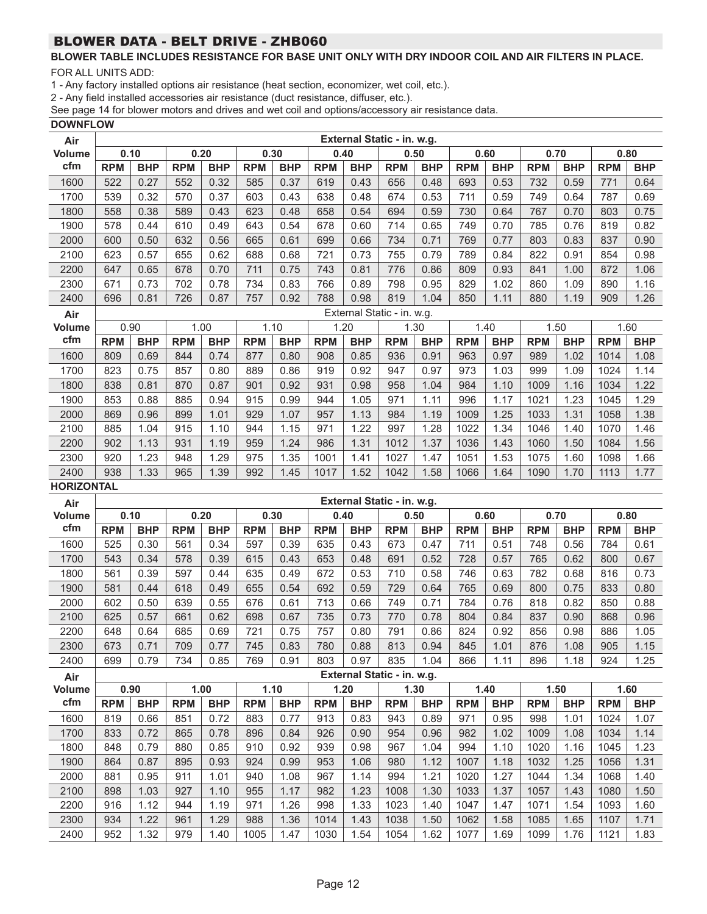# **BLOWER TABLE INCLUDES RESISTANCE FOR BASE UNIT ONLY WITH DRY INDOOR COIL AND AIR FILTERS IN PLACE.**

FOR ALL UNITS ADD:

1 - Any factory installed options air resistance (heat section, economizer, wet coil, etc.).

2 - Any field installed accessories air resistance (duct resistance, diffuser, etc.).

See page 14 for blower motors and drives and wet coil and options/accessory air resistance data.

**DOWNFLOW**

| Air               | External Static - in. w.g. |            |            |            |            |            |            |            |                            |            |            |            |            |            |            |            |
|-------------------|----------------------------|------------|------------|------------|------------|------------|------------|------------|----------------------------|------------|------------|------------|------------|------------|------------|------------|
| <b>Volume</b>     | 0.10                       |            |            | 0.20       |            | 0.30       | 0.40       |            | 0.50                       |            | 0.60       |            |            | 0.70       |            | 0.80       |
| cfm               | <b>RPM</b>                 | <b>BHP</b> | <b>RPM</b> | <b>BHP</b> | <b>RPM</b> | <b>BHP</b> | <b>RPM</b> | <b>BHP</b> | <b>RPM</b>                 | <b>BHP</b> | <b>RPM</b> | <b>BHP</b> | <b>RPM</b> | <b>BHP</b> | <b>RPM</b> | <b>BHP</b> |
| 1600              | 522                        | 0.27       | 552        | 0.32       | 585        | 0.37       | 619        | 0.43       | 656                        | 0.48       | 693        | 0.53       | 732        | 0.59       | 771        | 0.64       |
| 1700              | 539                        | 0.32       | 570        | 0.37       | 603        | 0.43       | 638        | 0.48       | 674                        | 0.53       | 711        | 0.59       | 749        | 0.64       | 787        | 0.69       |
| 1800              | 558                        | 0.38       | 589        | 0.43       | 623        | 0.48       | 658        | 0.54       | 694                        | 0.59       | 730        | 0.64       | 767        | 0.70       | 803        | 0.75       |
| 1900              | 578                        | 0.44       | 610        | 0.49       | 643        | 0.54       | 678        | 0.60       | 714                        | 0.65       | 749        | 0.70       | 785        | 0.76       | 819        | 0.82       |
| 2000              | 600                        | 0.50       | 632        | 0.56       | 665        | 0.61       | 699        | 0.66       | 734                        | 0.71       | 769        | 0.77       | 803        | 0.83       | 837        | 0.90       |
| 2100              | 623                        | 0.57       | 655        | 0.62       | 688        | 0.68       | 721        | 0.73       | 755                        | 0.79       | 789        | 0.84       | 822        | 0.91       | 854        | 0.98       |
| 2200              | 647                        | 0.65       | 678        | 0.70       | 711        | 0.75       | 743        | 0.81       | 776                        | 0.86       | 809        | 0.93       | 841        | 1.00       | 872        | 1.06       |
| 2300              | 671                        | 0.73       | 702        | 0.78       | 734        | 0.83       | 766        | 0.89       | 798                        | 0.95       | 829        | 1.02       | 860        | 1.09       | 890        | 1.16       |
| 2400              | 696                        | 0.81       | 726        | 0.87       | 757        | 0.92       | 788        | 0.98       | 819                        | 1.04       | 850        | 1.11       | 880        | 1.19       | 909        | 1.26       |
| Air               |                            |            |            |            |            |            |            |            | External Static - in. w.g. |            |            |            |            |            |            |            |
| <b>Volume</b>     | 0.90                       |            |            | 1.00       |            | 1.10       |            | 1.20       |                            | 1.30       | 1.40       |            |            | 1.50       |            | 1.60       |
| cfm               | <b>RPM</b>                 | <b>BHP</b> | <b>RPM</b> | <b>BHP</b> | <b>RPM</b> | <b>BHP</b> | <b>RPM</b> | <b>BHP</b> | <b>RPM</b>                 | <b>BHP</b> | <b>RPM</b> | <b>BHP</b> | <b>RPM</b> | <b>BHP</b> | <b>RPM</b> | <b>BHP</b> |
| 1600              | 809                        | 0.69       | 844        | 0.74       | 877        | 0.80       | 908        | 0.85       | 936                        | 0.91       | 963        | 0.97       | 989        | 1.02       | 1014       | 1.08       |
| 1700              | 823                        | 0.75       | 857        | 0.80       | 889        | 0.86       | 919        | 0.92       | 947                        | 0.97       | 973        | 1.03       | 999        | 1.09       | 1024       | 1.14       |
| 1800              | 838                        | 0.81       | 870        | 0.87       | 901        | 0.92       | 931        | 0.98       | 958                        | 1.04       | 984        | 1.10       | 1009       | 1.16       | 1034       | 1.22       |
| 1900              | 853                        | 0.88       | 885        | 0.94       | 915        | 0.99       | 944        | 1.05       | 971                        | 1.11       | 996        | 1.17       | 1021       | 1.23       | 1045       | 1.29       |
| 2000              | 869                        | 0.96       | 899        | 1.01       | 929        | 1.07       | 957        | 1.13       | 984                        | 1.19       | 1009       | 1.25       | 1033       | 1.31       | 1058       | 1.38       |
| 2100              | 885                        | 1.04       | 915        | 1.10       | 944        | 1.15       | 971        | 1.22       | 997                        | 1.28       | 1022       | 1.34       | 1046       | 1.40       | 1070       | 1.46       |
| 2200              | 902                        | 1.13       | 931        | 1.19       | 959        | 1.24       | 986        | 1.31       | 1012                       | 1.37       | 1036       | 1.43       | 1060       | 1.50       | 1084       | 1.56       |
| 2300              | 920                        | 1.23       | 948        | 1.29       | 975        | 1.35       | 1001       | 1.41       | 1027                       | 1.47       | 1051       | 1.53       | 1075       | 1.60       | 1098       | 1.66       |
| 2400              | 938                        | 1.33       | 965        | 1.39       | 992        | 1.45       | 1017       | 1.52       | 1042                       | 1.58       | 1066       | 1.64       | 1090       | 1.70       | 1113       | 1.77       |
| <b>HORIZONTAL</b> |                            |            |            |            |            |            |            |            |                            |            |            |            |            |            |            |            |
| Air               |                            |            |            |            |            |            |            |            | External Static - in. w.g. |            |            |            |            |            |            |            |
| Volume            | 0.10                       |            | 0.20       |            |            | 0.30       | 0.40       |            | 0.50                       |            | 0.60       |            | 0.70       |            |            | 0.80       |
| cfm               | <b>RPM</b>                 | <b>BHP</b> | <b>RPM</b> | <b>BHP</b> | <b>RPM</b> | <b>BHP</b> | <b>RPM</b> | <b>BHP</b> | <b>RPM</b>                 | <b>BHP</b> | <b>RPM</b> | <b>BHP</b> | <b>RPM</b> | <b>BHP</b> | <b>RPM</b> | <b>BHP</b> |
| 1600              | 525                        | 0.30       | 561        | 0.34       | 597        | 0.39       | 635        | 0.43       | 673                        | 0.47       | 711        | 0.51       | 748        | 0.56       | 784        | 0.61       |
| 1700              | 543                        | 0.34       | 578        | 0.39       | 615        | 0.43       | 653        | 0.48       | 691                        | 0.52       | 728        | 0.57       | 765        | 0.62       | 800        | 0.67       |
| 1800              | 561                        | 0.39       | 597        | 0.44       | 635        | 0.49       | 672        | 0.53       | 710                        | 0.58       | 746        | 0.63       | 782        | 0.68       | 816        | 0.73       |
| 1900              | 581                        | 0.44       | 618        | 0.49       | 655        | 0.54       | 692        | 0.59       | 729                        | 0.64       | 765        | 0.69       | 800        | 0.75       | 833        | 0.80       |
| 2000              | 602                        | 0.50       | 639        | 0.55       | 676        | 0.61       | 713        | 0.66       | 749                        | 0.71       | 784        | 0.76       | 818        | 0.82       | 850        | 0.88       |
| 2100              | 625                        | 0.57       | 661        | 0.62       | 698        | 0.67       | 735        | 0.73       | 770                        | 0.78       | 804        | 0.84       | 837        | 0.90       | 868        | 0.96       |
| 2200              | 648                        | 0.64       | 685        | 0.69       | 721        | 0.75       | 757        | 0.80       | 791                        | 0.86       | 824        | 0.92       | 856        | 0.98       | 886        | 1.05       |
| 2300              | 673                        | 0.71       | 709        | 0.77       | 745        | 0.83       | 780        | 0.88       | 813                        | 0.94       | 845        | 1.01       | 876        | 1.08       | 905        | 1.15       |
| 2400              | 699                        | 0.79       | 734        | 0.85       | 769        | 0.91       | 803        | 0.97       | 835                        | 1.04       | 866        | 1.11       | 896        | 1.18       | 924        | 1.25       |
| Air               |                            |            |            |            |            |            |            |            | External Static - in. w.g. |            |            |            |            |            |            |            |
| <b>Volume</b>     | 0.90                       |            |            | 1.00       |            | 1.10       |            | 1.20       |                            | 1.30       | 1.40       |            |            | 1.50       |            | 1.60       |
| cfm               | <b>RPM</b>                 | <b>BHP</b> | <b>RPM</b> | <b>BHP</b> | <b>RPM</b> | <b>BHP</b> | <b>RPM</b> | <b>BHP</b> | <b>RPM</b>                 | <b>BHP</b> | <b>RPM</b> | <b>BHP</b> | <b>RPM</b> | <b>BHP</b> | <b>RPM</b> | <b>BHP</b> |
| 1600              | 819                        | 0.66       | 851        | 0.72       | 883        | 0.77       | 913        | 0.83       | 943                        | 0.89       | 971        | 0.95       | 998        | 1.01       | 1024       | 1.07       |
| 1700              | 833                        | 0.72       | 865        | 0.78       | 896        | 0.84       | 926        | 0.90       | 954                        | 0.96       | 982        | 1.02       | 1009       | 1.08       | 1034       | 1.14       |
| 1800              | 848                        | 0.79       | 880        | 0.85       | 910        | 0.92       | 939        | 0.98       | 967                        | 1.04       | 994        | 1.10       | 1020       | 1.16       | 1045       | 1.23       |
| 1900              | 864                        | 0.87       | 895        | 0.93       | 924        | 0.99       | 953        | 1.06       | 980                        | 1.12       | 1007       | 1.18       | 1032       | 1.25       | 1056       | 1.31       |
| 2000              | 881                        | 0.95       | 911        | 1.01       | 940        | 1.08       | 967        | 1.14       | 994                        | 1.21       | 1020       | 1.27       | 1044       | 1.34       | 1068       | 1.40       |
| 2100              | 898                        | 1.03       | 927        | 1.10       | 955        | 1.17       | 982        | 1.23       | 1008                       | 1.30       | 1033       | 1.37       | 1057       | 1.43       | 1080       | 1.50       |
| 2200              | 916                        | 1.12       | 944        | 1.19       | 971        | 1.26       | 998        | 1.33       | 1023                       | 1.40       | 1047       | 1.47       | 1071       | 1.54       | 1093       | 1.60       |
| 2300              | 934                        | 1.22       | 961        | 1.29       | 988        | 1.36       | 1014       | 1.43       | 1038                       | 1.50       | 1062       | 1.58       | 1085       | 1.65       | 1107       | 1.71       |
| 2400              | 952                        | 1.32       | 979        | 1.40       | 1005       | 1.47       | 1030       | 1.54       | 1054                       | 1.62       | 1077       | 1.69       | 1099       | 1.76       | 1121       | 1.83       |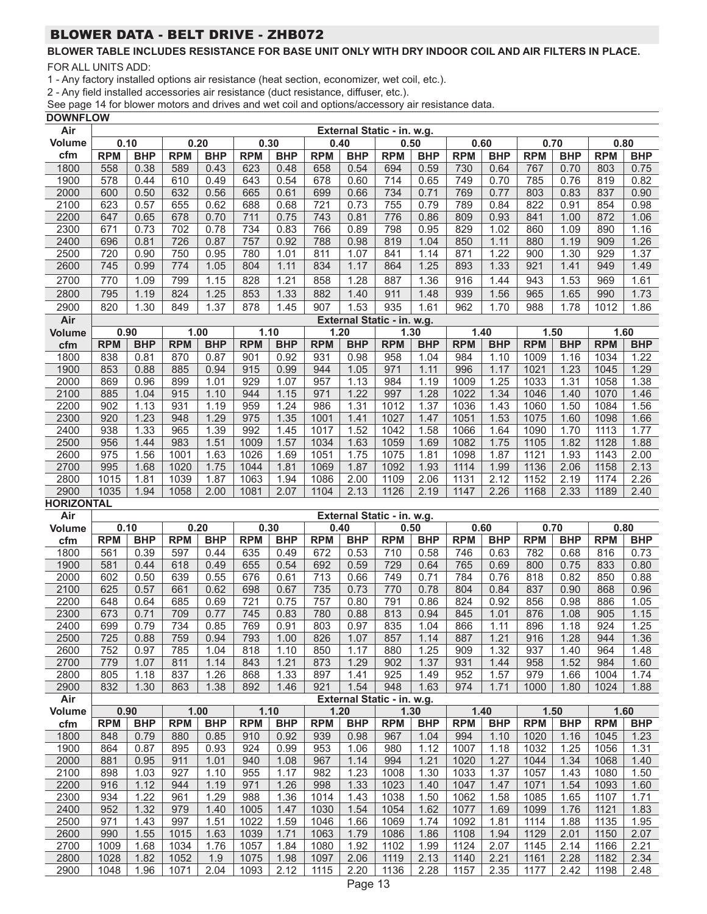# **BLOWER TABLE INCLUDES RESISTANCE FOR BASE UNIT ONLY WITH DRY INDOOR COIL AND AIR FILTERS IN PLACE.**

FOR ALL UNITS ADD:

1 - Any factory installed options air resistance (heat section, economizer, wet coil, etc.).

2 - Any field installed accessories air resistance (duct resistance, diffuser, etc.).

See page 14 for blower motors and drives and wet coil and options/accessory air resistance data.

|  | <b>DOWNFLOW</b> |  |
|--|-----------------|--|
|  |                 |  |

| Air               |            |            |            |              |            |            |            |                 | External Static - in. w.g. |            |            |                   |            |              |            |              |  |
|-------------------|------------|------------|------------|--------------|------------|------------|------------|-----------------|----------------------------|------------|------------|-------------------|------------|--------------|------------|--------------|--|
| <b>Volume</b>     | 0.10       |            |            | 0.20         | 0.30       |            | 0.40       |                 |                            | 0.50       |            | 0.60              | 0.70       |              |            | 0.80         |  |
| cfm               | <b>RPM</b> | <b>BHP</b> | <b>RPM</b> | <b>BHP</b>   | <b>RPM</b> | <b>BHP</b> | <b>RPM</b> | <b>BHP</b>      | <b>RPM</b>                 | <b>BHP</b> | <b>RPM</b> | <b>BHP</b>        | <b>RPM</b> | <b>BHP</b>   | <b>RPM</b> | <b>BHP</b>   |  |
| 1800              | 558        | 0.38       | 589        | 0.43         | 623        | 0.48       | 658        | 0.54            | 694                        | 0.59       | 730        | 0.64              | 767        | 0.70         | 803        | 0.75         |  |
| 1900              | 578        | 0.44       | 610        | 0.49         | 643        | 0.54       | 678        | 0.60            | 714                        | 0.65       | 749        | 0.70              | 785        | 0.76         | 819        | 0.82         |  |
| 2000              | 600        | 0.50       | 632        | 0.56         | 665        | 0.61       | 699        | 0.66            | 734                        | 0.71       | 769        | 0.77              | 803        | 0.83         | 837        | 0.90         |  |
| 2100              | 623        | 0.57       | 655        | 0.62         | 688        | 0.68       | 721        | 0.73            | 755                        | 0.79       | 789        | 0.84              | 822        | 0.91         | 854        | 0.98         |  |
| 2200              | 647        | 0.65       | 678        | 0.70         | 711        | 0.75       | 743        | 0.81            | 776                        | 0.86       | 809        | 0.93              | 841        | 1.00         | 872        | 1.06         |  |
| 2300              | 671        | 0.73       | 702        | 0.78         | 734        | 0.83       | 766        | 0.89            | 798                        | 0.95       | 829        | 1.02              | 860        | 1.09         | 890        | 1.16         |  |
| 2400              | 696        | 0.81       | 726        | 0.87         | 757        | 0.92       | 788        | 0.98            | 819                        | 1.04       | 850        | 1.11              | 880        | 1.19         | 909        | 1.26         |  |
| 2500              | 720        | 0.90       | 750        | 0.95         | 780        | 1.01       | 811        | 1.07            | 841                        | 1.14       | 871        | 1.22              | 900        | 1.30         | 929        | 1.37         |  |
| 2600              | 745        | 0.99       | 774        | 1.05         | 804        | 1.11       | 834        | 1.17            | 864                        | 1.25       | 893        | 1.33              | 921        | 1.41         | 949        | 1.49         |  |
|                   |            |            |            |              |            |            |            |                 |                            |            |            |                   |            |              |            |              |  |
| 2700              | 770        | 1.09       | 799        | 1.15         | 828        | 1.21       | 858        | 1.28            | 887                        | 1.36       | 916        | 1.44              | 943        | 1.53         | 969        | 1.61         |  |
| 2800              | 795        | 1.19       | 824        | 1.25         | 853        | 1.33       | 882        | 1.40            | 911                        | 1.48       | 939        | 1.56              | 965        | 1.65         | 990        | 1.73         |  |
| 2900              | 820        | 1.30       | 849        | 1.37         | 878        | 1.45       | 907        | 1.53            | 935                        | 1.61       | 962        | 1.70              | 988        | 1.78         | 1012       | 1.86         |  |
| Air               |            |            |            |              |            |            |            |                 | External Static - in. w.g. |            |            |                   |            |              |            |              |  |
| <b>Volume</b>     | 0.90       |            |            | 1.00         | 1.10       |            | 1.20       |                 | 1.30                       |            |            | 1.40              | 1.50       |              | 1.60       |              |  |
| cfm               | <b>RPM</b> | <b>BHP</b> | <b>RPM</b> | <b>BHP</b>   | <b>RPM</b> | <b>BHP</b> | <b>RPM</b> | <b>BHP</b>      | <b>RPM</b>                 | <b>BHP</b> | <b>RPM</b> | <b>BHP</b>        | <b>RPM</b> | <b>BHP</b>   | <b>RPM</b> | <b>BHP</b>   |  |
| 1800              | 838        | 0.81       | 870        | 0.87         | 901        | 0.92       | 931        | 0.98            | 958                        | 1.04       | 984        | 1.10              | 1009       | 1.16         | 1034       | 1.22         |  |
| 1900              | 853        | 0.88       | 885        | 0.94         | 915        | 0.99       | 944        | 1.05            | 971                        | 1.11       | 996        | 1.17              | 1021       | 1.23         | 1045       | 1.29         |  |
| 2000              | 869        | 0.96       | 899        | 1.01         | 929        | 1.07       | 957        | 1.13            | 984                        | 1.19       | 1009       | 1.25              | 1033       | 1.31         | 1058       | 1.38         |  |
| 2100              | 885        | 1.04       | 915        | 1.10         | 944        | 1.15       | 971        | 1.22            | 997                        | 1.28       | 1022       | 1.34              | 1046       | 1.40         | 1070       | 1.46         |  |
| 2200              | 902        | 1.13       | 931        | 1.19         | 959        | 1.24       | 986        | 1.31            | 1012                       | 1.37       | 1036       | 1.43              | 1060       | 1.50         | 1084       | 1.56         |  |
| 2300              | 920        | 1.23       | 948        | 1.29         | 975        | 1.35       | 1001       | 1.41            | 1027                       | 1.47       | 1051       | 1.53              | 1075       | 1.60         | 1098       | 1.66         |  |
| 2400              | 938        | 1.33       | 965        | 1.39         | 992        | 1.45       | 1017       | 1.52            | 1042                       | 1.58       | 1066       | 1.64              | 1090       | 1.70         | 1113       | 1.77         |  |
| 2500              | 956        | 1.44       | 983        | 1.51         | 1009       | 1.57       | 1034       | 1.63            | 1059                       | 1.69       | 1082       | 1.75              | 1105       | 1.82         | 1128       | 1.88         |  |
| 2600              | 975        | 1.56       | 1001       | 1.63         | 1026       | 1.69       | 1051       | 1.75            | 1075                       | 1.81       | 1098       | 1.87              | 1121       | 1.93         | 1143       | 2.00         |  |
| 2700              | 995        | 1.68       | 1020       | 1.75         | 1044       | 1.81       | 1069       | 1.87            | 1092                       | 1.93       | 1114       | 1.99              | 1136       | 2.06         | 1158       | 2.13         |  |
| 2800              | 1015       | 1.81       | 1039       | 1.87         | 1063       | 1.94       | 1086       | 2.00            | 1109                       | 2.06       | 1131       | 2.12              | 1152       | 2.19         | 1174       | 2.26         |  |
| 2900              | 1035       | 1.94       | 1058       | 2.00         | 1081       | 2.07       | 1104       | 2.13            | 1126                       | 2.19       | 1147       | 2.26              | 1168       | 2.33         | 1189       | 2.40         |  |
| <b>HORIZONTAL</b> |            |            |            |              |            |            |            |                 |                            |            |            |                   |            |              |            |              |  |
| Air               |            |            |            |              |            |            |            |                 | External Static - in. w.g. |            |            |                   |            |              |            |              |  |
| <b>Volume</b>     | 0.10       |            |            | 0.20         | 0.30       |            | 0.40       |                 | 0.50                       |            |            | 0.60              | 0.70       |              | 0.80       |              |  |
| cfm               | <b>RPM</b> | <b>BHP</b> | <b>RPM</b> | <b>BHP</b>   | <b>RPM</b> | <b>BHP</b> | <b>RPM</b> | <b>BHP</b>      | <b>RPM</b>                 | <b>BHP</b> | <b>RPM</b> | <b>BHP</b>        | <b>RPM</b> | <b>BHP</b>   | <b>RPM</b> | <b>BHP</b>   |  |
| 1800              | 561        | 0.39       | 597        | 0.44         | 635        | 0.49       | 672        | 0.53            | 710                        | 0.58       | 746        | 0.63              | 782        | 0.68         | 816        | 0.73         |  |
|                   |            |            |            |              |            |            | 692        | 0.59            |                            | 0.64       | 765        | 0.69              |            |              |            |              |  |
|                   |            | 0.44       |            |              |            |            |            |                 |                            |            |            |                   |            |              |            |              |  |
| 1900              | 581        |            | 618        | 0.49         | 655        | 0.54       |            |                 | 729                        |            |            |                   | 800        | 0.75         | 833        | 0.80         |  |
| 2000              | 602        | 0.50       | 639        | 0.55         | 676        | 0.61       | 713        | 0.66            | 749                        | 0.71       | 784        | 0.76              | 818        | 0.82         | 850        | 0.88         |  |
| 2100              | 625        | 0.57       | 661        | 0.62         | 698        | 0.67       | 735        | 0.73            | 770                        | 0.78       | 804        | 0.84              | 837        | 0.90         | 868        | 0.96         |  |
| 2200              | 648        | 0.64       | 685        | 0.69         | 721        | 0.75       | 757        | 0.80            | 791                        | 0.86       | 824        | 0.92              | 856        | 0.98         | 886        | 1.05         |  |
| 2300              | 673        | 0.71       | 709        | 0.77         | 745        | 0.83       | 780        | 0.88            | 813                        | 0.94       | 845        | 1.01              | 876        | 1.08         | 905        | 1.15         |  |
| 2400              | 699        | 0.79       | 734        | 0.85         | 769        | 0.91       | 803        | 0.97            | 835                        | 1.04       | 866        | 1.11              | 896        | 1.18         | 924        | 1.25         |  |
| 2500              | 725        | 0.88       | 759        | 0.94         | 793        | 1.00       | 826        | 1.07<br>1.17    | 857                        | 1.14       | 887        | $\overline{1.21}$ | 916        | 1.28<br>1.40 | 944<br>964 | 1.36<br>1.48 |  |
| 2600              | 752<br>779 | 0.97       | 785        | 1.04<br>1.14 | 818        | 1.10       | 850        |                 | 880<br>902                 | 1.25       | 909        | 1.32              | 937        |              |            |              |  |
| 2700              |            | 1.07       | 811        |              | 843        | 1.21       | 873        | 1.29            |                            | 1.37       | 931        | 1.44              | 958        | 1.52         | 984        | 1.60         |  |
| 2800              | 805        | 1.18       | 837        | 1.26         | 868        | 1.33       | 897        | 1.41            | 925                        | 1.49       | 952        | 1.57              | 979        | 1.66         | 1004       | 1.74         |  |
| 2900              | 832        | 1.30       | 863        | 1.38         | 892        | 1.46       | 921        | 1.54            | 948                        | 1.63       | 974        | 1.71              | 1000       | 1.80         | 1024       | 1.88         |  |
| Air               |            |            |            |              |            |            |            |                 | External Static - in. w.g. |            |            |                   |            |              |            |              |  |
| <b>Volume</b>     | 0.90       |            |            | 1.00         |            | 1.10       | 1.20       |                 |                            | 1.30       |            | 1.40              | 1.50       |              | 1.60       |              |  |
| cfm               | <b>RPM</b> | <b>BHP</b> | <b>RPM</b> | <b>BHP</b>   | <b>RPM</b> | <b>BHP</b> | <b>RPM</b> | <b>BHP</b>      | <b>RPM</b>                 | <b>BHP</b> | <b>RPM</b> | <b>BHP</b>        | <b>RPM</b> | <b>BHP</b>   | <b>RPM</b> | <b>BHP</b>   |  |
| 1800              | 848        | 0.79       | 880        | 0.85         | 910        | 0.92       | 939        | 0.98            | 967                        | 1.04       | 994        | 1.10              | 1020       | 1.16         | 1045       | 1.23         |  |
| 1900              | 864        | 0.87       | 895        | 0.93         | 924        | 0.99       | 953        | 1.06            | 980                        | 1.12       | 1007       | 1.18              | 1032       | 1.25         | 1056       | 1.31         |  |
| 2000              | 881        | 0.95       | 911        | 1.01         | 940        | 1.08       | 967        | 1.14            | 994                        | 1.21       | 1020       | 1.27              | 1044       | 1.34         | 1068       | 1.40         |  |
| 2100              | 898        | 1.03       | 927        | 1.10         | 955        | 1.17       | 982        | 1.23            | 1008                       | 1.30       | 1033       | 1.37              | 1057       | 1.43         | 1080       | 1.50         |  |
| 2200              | 916        | 1.12       | 944        | 1.19         | 971        | 1.26       | 998        | 1.33            | 1023                       | 1.40       | 1047       | 1.47              | 1071       | 1.54         | 1093       | 1.60         |  |
| 2300              | 934        | 1.22       | 961        | 1.29         | 988        | 1.36       | 1014       | 1.43            | 1038                       | 1.50       | 1062       | 1.58              | 1085       | 1.65         | 1107       | 1.71         |  |
| 2400              | 952        | 1.32       | 979        | 1.40         | 1005       | 1.47       | 1030       | 1.54            | 1054                       | 1.62       | 1077       | 1.69              | 1099       | 1.76         | 1121       | 1.83         |  |
| 2500              | 971        | 1.43       | 997        | 1.51         | 1022       | 1.59       | 1046       | 1.66            | 1069                       | 1.74       | 1092       | 1.81              | 1114       | 1.88         | 1135       | 1.95         |  |
| 2600              | 990        | 1.55       | 1015       | 1.63         | 1039       | 1.71       | 1063       | 1.79            | 1086                       | 1.86       | 1108       | 1.94              | 1129       | 2.01         | 1150       | 2.07         |  |
| 2700              | 1009       | 1.68       | 1034       | 1.76         | 1057       | 1.84       | 1080       | 1.92            | 1102                       | 1.99       | 1124       | 2.07              | 1145       | 2.14         | 1166       | 2.21         |  |
| 2800              | 1028       | 1.82       | 1052       | 1.9          | 1075       | 1.98       | 1097       | 2.06            | 1119                       | 2.13       | 1140       | 2.21              | 1161       | 2.28         | 1182       | 2.34         |  |
| 2900              | 1048       | 1.96       | 1071       | 2.04         | 1093       | 2.12       | 1115       | 2.20<br>Page 13 | 1136                       | 2.28       | 1157       | 2.35              | 1177       | 2.42         | 1198       | 2.48         |  |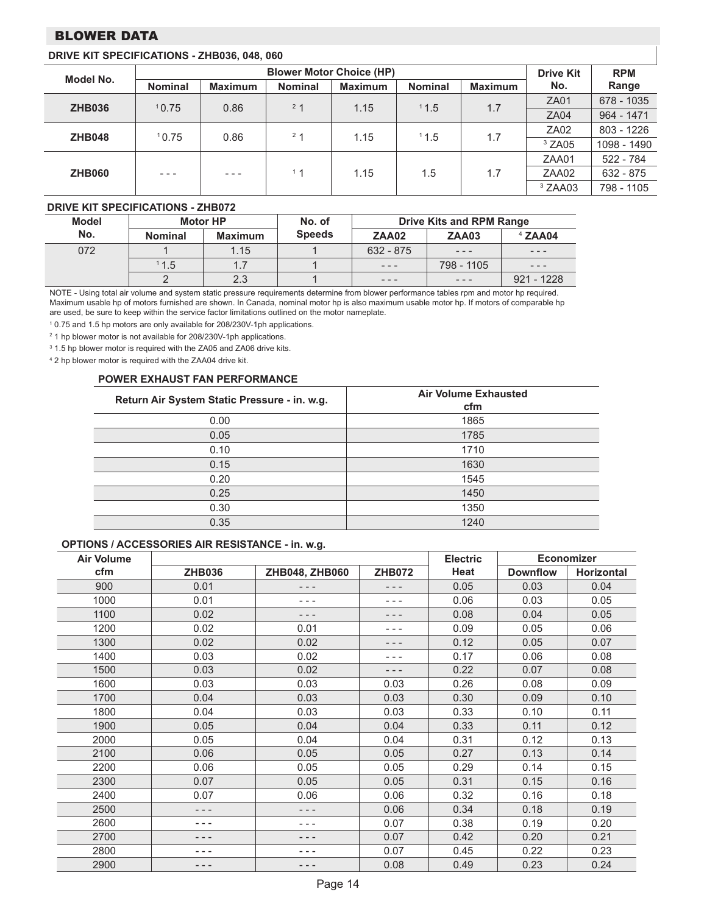# BLOWER DATA

#### **DRIVE KIT SPECIFICATIONS - ZHB036, 048, 060**

| Model No.     |                | <b>Blower Motor Choice (HP)</b> |                | <b>Drive Kit</b> | <b>RPM</b>     |                |                    |              |
|---------------|----------------|---------------------------------|----------------|------------------|----------------|----------------|--------------------|--------------|
|               | <b>Nominal</b> | <b>Maximum</b>                  | <b>Nominal</b> | <b>Maximum</b>   | <b>Nominal</b> | <b>Maximum</b> | No.                | Range        |
| <b>ZHB036</b> | 10.75          | 0.86                            | 2 <sub>1</sub> | 1.15             | 11.5           | 1.7            | <b>ZA01</b>        | 678 - 1035   |
|               |                |                                 |                |                  |                |                | <b>ZA04</b>        | $964 - 1471$ |
| <b>ZHB048</b> | 10.75          | 0.86                            | 2 <sub>1</sub> | 1.15             | 11.5           | 1.7            | ZA02               | 803 - 1226   |
|               |                |                                 |                |                  |                |                | $3$ ZA05           | 1098 - 1490  |
|               |                |                                 |                |                  |                |                | ZAA01              | 522 - 784    |
| <b>ZHB060</b> | $- - -$        | $- - -$                         | $+1$           | 1.15             | 1.5            | 1.7            | ZAA02              | 632 - 875    |
|               |                |                                 |                |                  |                |                | <sup>3</sup> ZAA03 | 798 - 1105   |

#### **DRIVE KIT SPECIFICATIONS - ZHB072**

| <b>Model</b> |                | <b>Motor HP</b> | No. of        | <b>Drive Kits and RPM Range</b> |            |              |  |  |
|--------------|----------------|-----------------|---------------|---------------------------------|------------|--------------|--|--|
| No.          | <b>Nominal</b> | <b>Maximum</b>  | <b>Speeds</b> | <b>ZAA02</b>                    | ZAA03      | $4$ ZAA04    |  |  |
| 072          |                | 1.15            |               | 632 - 875                       | $- - -$    | $- - -$      |  |  |
|              | 11.5           | 1.7             |               | $\frac{1}{2}$                   | 798 - 1105 | $- - -$      |  |  |
|              |                | 2.3             |               | $\frac{1}{2}$                   | $- - -$    | $921 - 1228$ |  |  |

NOTE - Using total air volume and system static pressure requirements determine from blower performance tables rpm and motor hp required. Maximum usable hp of motors furnished are shown. In Canada, nominal motor hp is also maximum usable motor hp. If motors of comparable hp are used, be sure to keep within the service factor limitations outlined on the motor nameplate.

1 0.75 and 1.5 hp motors are only available for 208/230V-1ph applications.

<sup>2</sup> 1 hp blower motor is not available for 208/230V-1ph applications.

<sup>3</sup> 1.5 hp blower motor is required with the ZA05 and ZA06 drive kits.

4 2 hp blower motor is required with the ZAA04 drive kit.

#### **POWER EXHAUST FAN PERFORMANCE**

| Return Air System Static Pressure - in. w.g. | <b>Air Volume Exhausted</b><br>cfm |  |  |  |  |  |
|----------------------------------------------|------------------------------------|--|--|--|--|--|
| 0.00                                         | 1865                               |  |  |  |  |  |
| 0.05                                         | 1785                               |  |  |  |  |  |
| 0.10                                         | 1710                               |  |  |  |  |  |
| 0.15                                         | 1630                               |  |  |  |  |  |
| 0.20                                         | 1545                               |  |  |  |  |  |
| 0.25                                         | 1450                               |  |  |  |  |  |
| 0.30                                         | 1350                               |  |  |  |  |  |
| 0.35                                         | 1240                               |  |  |  |  |  |

#### **OPTIONS / ACCESSORIES AIR RESISTANCE - in. w.g.**

| <b>Air Volume</b> |               |                |               | <b>Electric</b> | <b>Economizer</b> |                   |  |
|-------------------|---------------|----------------|---------------|-----------------|-------------------|-------------------|--|
| cfm               | <b>ZHB036</b> | ZHB048, ZHB060 | <b>ZHB072</b> | Heat            | <b>Downflow</b>   | <b>Horizontal</b> |  |
| 900               | 0.01          | - - -          | - - -         | 0.05            | 0.03              | 0.04              |  |
| 1000              | 0.01          | - - -          | $- - -$       | 0.06            | 0.03              | 0.05              |  |
| 1100              | 0.02          | - - -          | - - -         | 0.08            | 0.04              | 0.05              |  |
| 1200              | 0.02          | 0.01           |               | 0.09            | 0.05              | 0.06              |  |
| 1300              | 0.02          | 0.02           | - - -         | 0.12            | 0.05              | 0.07              |  |
| 1400              | 0.03          | 0.02           | $- - -$       | 0.17            | 0.06              | 0.08              |  |
| 1500              | 0.03          | 0.02           | - - -         | 0.22            | 0.07              | 0.08              |  |
| 1600              | 0.03          | 0.03           | 0.03          | 0.26            | 0.08              | 0.09              |  |
| 1700              | 0.04          | 0.03           | 0.03          | 0.30            | 0.09              | 0.10              |  |
| 1800              | 0.04          | 0.03           | 0.03          | 0.33            | 0.10              | 0.11              |  |
| 1900              | 0.05          | 0.04           | 0.04          | 0.33            | 0.11              | 0.12              |  |
| 2000              | 0.05          | 0.04           | 0.04          | 0.31            | 0.12              | 0.13              |  |
| 2100              | 0.06          | 0.05           | 0.05          | 0.27            | 0.13              | 0.14              |  |
| 2200              | 0.06          | 0.05           | 0.05          | 0.29            | 0.14              | 0.15              |  |
| 2300              | 0.07          | 0.05           | 0.05          | 0.31            | 0.15              | 0.16              |  |
| 2400              | 0.07          | 0.06           | 0.06          | 0.32            | 0.16              | 0.18              |  |
| 2500              | - - -         | - - -          | 0.06          | 0.34            | 0.18              | 0.19              |  |
| 2600              | $- - -$       | - - -          | 0.07          | 0.38            | 0.19              | 0.20              |  |
| 2700              | $- - -$       | - - -          | 0.07          | 0.42            | 0.20              | 0.21              |  |
| 2800              |               |                | 0.07          | 0.45            | 0.22              | 0.23              |  |
| 2900              | - - -         | - - -          | 0.08          | 0.49            | 0.23              | 0.24              |  |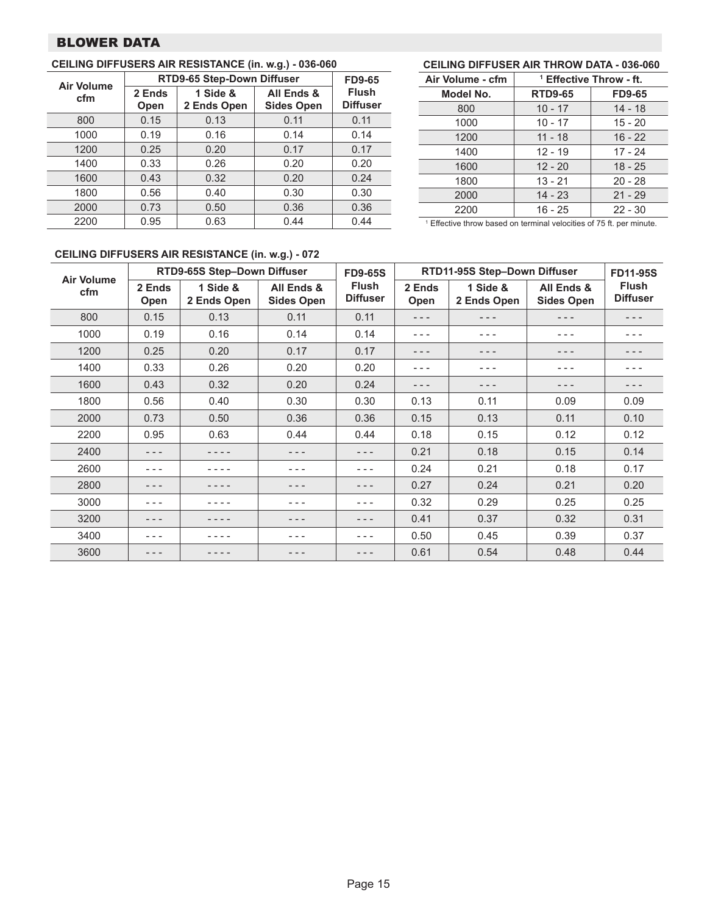# BLOWER DATA

#### **Air Volume cfm RTD9-65 Step-Down Diffuser FD9-65 Flush Diffuser 2 Ends Open 1 Side & 2 Ends Open All Ends & Sides Open** 800 0.15 0.13 0.11 0.11 1000 | 0.19 | 0.16 | 0.14 | 0.14 1200 | 0.25 | 0.20 | 0.17 | 0.17 1400 | 0.33 | 0.26 | 0.20 | 0.20 1600 0.43 0.32 0.20 0.24 1800 | 0.56 | 0.40 | 0.30 | 0.30 2000 0.73 0.50 0.36 0.36 2200 0.95 0.63 0.44 0.44

#### **CEILING DIFFUSERS AIR RESISTANCE (in. w.g.) - 036-060**

### **CEILING DIFFUSER AIR THROW DATA - 036-060**

| Air Volume - cfm | <sup>1</sup> Effective Throw - ft. |               |  |  |  |  |
|------------------|------------------------------------|---------------|--|--|--|--|
| Model No.        | <b>RTD9-65</b>                     | <b>FD9-65</b> |  |  |  |  |
| 800              | $10 - 17$                          | $14 - 18$     |  |  |  |  |
| 1000             | $10 - 17$                          | $15 - 20$     |  |  |  |  |
| 1200             | $11 - 18$                          | $16 - 22$     |  |  |  |  |
| 1400             | $12 - 19$                          | 17 - 24       |  |  |  |  |
| 1600             | $12 - 20$                          | $18 - 25$     |  |  |  |  |
| 1800             | $13 - 21$                          | $20 - 28$     |  |  |  |  |
| 2000             | $14 - 23$                          | $21 - 29$     |  |  |  |  |
| 2200             | $16 - 25$                          | $22 - 30$     |  |  |  |  |

<sup>1</sup> Effective throw based on terminal velocities of 75 ft. per minute.

# **CEILING DIFFUSERS AIR RESISTANCE (in. w.g.) - 072**

|                          |                | RTD9-65S Step-Down Diffuser |                                 | <b>FD9-65S</b>                  |                | RTD11-95S Step-Down Diffuser |                                 |                                 |  |
|--------------------------|----------------|-----------------------------|---------------------------------|---------------------------------|----------------|------------------------------|---------------------------------|---------------------------------|--|
| <b>Air Volume</b><br>cfm | 2 Ends<br>Open | 1 Side &<br>2 Ends Open     | All Ends &<br><b>Sides Open</b> | <b>Flush</b><br><b>Diffuser</b> | 2 Ends<br>Open | 1 Side &<br>2 Ends Open      | All Ends &<br><b>Sides Open</b> | <b>Flush</b><br><b>Diffuser</b> |  |
| 800                      | 0.15           | 0.13                        | 0.11                            | 0.11                            | $- - -$        | - - -                        | - - -                           | - - -                           |  |
| 1000                     | 0.19           | 0.16                        | 0.14                            | 0.14                            | - - -          | - - -                        | - - -                           | - - -                           |  |
| 1200                     | 0.25           | 0.20                        | 0.17                            | 0.17                            | - - -          | - - -                        | - - -                           | - - -                           |  |
| 1400                     | 0.33           | 0.26                        | 0.20                            | 0.20                            | $- - -$        | - - -                        | - - -                           | - - -                           |  |
| 1600                     | 0.43           | 0.32                        | 0.20                            | 0.24                            | - - -          | - - -                        |                                 | - - -                           |  |
| 1800                     | 0.56           | 0.40                        | 0.30                            | 0.30                            | 0.13           | 0.11                         | 0.09                            | 0.09                            |  |
| 2000                     | 0.73           | 0.50                        | 0.36                            | 0.36                            | 0.15           | 0.13                         | 0.11                            | 0.10                            |  |
| 2200                     | 0.95           | 0.63                        | 0.44                            | 0.44                            | 0.18           | 0.15                         | 0.12                            | 0.12                            |  |
| 2400                     |                |                             | - - -                           | - - -                           | 0.21           | 0.18                         | 0.15                            | 0.14                            |  |
| 2600                     |                |                             | - - -                           | - - -                           | 0.24           | 0.21                         | 0.18                            | 0.17                            |  |
| 2800                     |                |                             | - - -                           | - - -                           | 0.27           | 0.24                         | 0.21                            | 0.20                            |  |
| 3000                     | - - -          |                             | - - -                           | - - -                           | 0.32           | 0.29                         | 0.25                            | 0.25                            |  |
| 3200                     |                |                             | - - -                           | - - -                           | 0.41           | 0.37                         | 0.32                            | 0.31                            |  |
| 3400                     |                |                             | - - -                           | - - -                           | 0.50           | 0.45                         | 0.39                            | 0.37                            |  |
| 3600                     |                |                             |                                 | - - -                           | 0.61           | 0.54                         | 0.48                            | 0.44                            |  |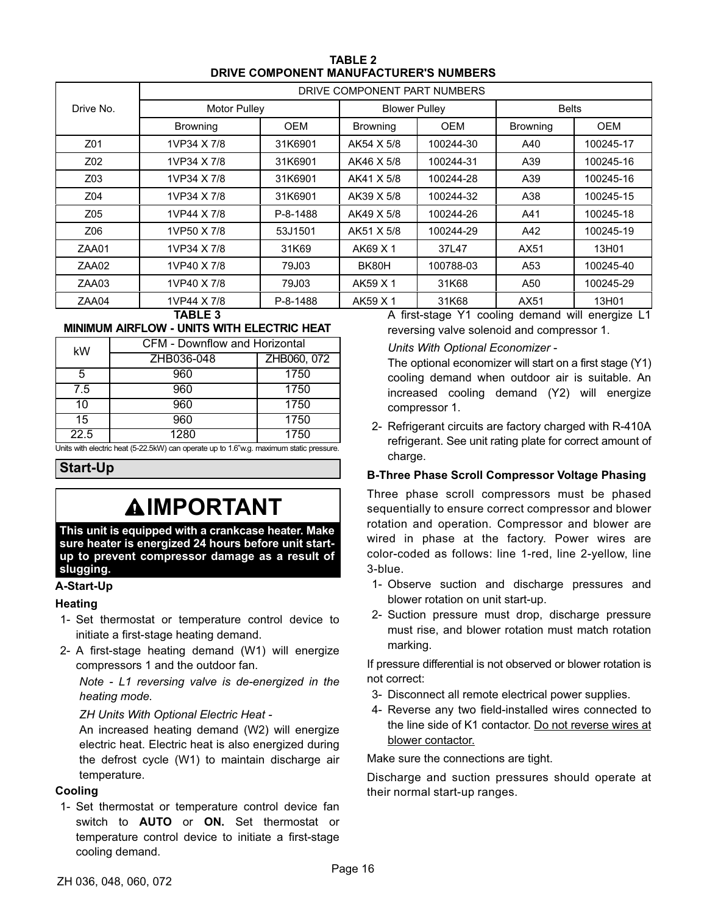| <b>TABLE 2</b>                         |
|----------------------------------------|
| DRIVE COMPONENT MANUFACTURER'S NUMBERS |

<span id="page-15-0"></span>

|                 | DRIVE COMPONENT PART NUMBERS |              |                 |                      |                 |              |  |  |  |  |  |
|-----------------|------------------------------|--------------|-----------------|----------------------|-----------------|--------------|--|--|--|--|--|
| Drive No.       | <b>Motor Pulley</b>          |              |                 | <b>Blower Pulley</b> |                 | <b>Belts</b> |  |  |  |  |  |
|                 | <b>Browning</b>              | OEM          | <b>Browning</b> | <b>OEM</b>           | <b>Browning</b> | <b>OEM</b>   |  |  |  |  |  |
| Z01             | 1VP34 X 7/8                  | 31K6901      | AK54 X 5/8      | 100244-30            | A40             | 100245-17    |  |  |  |  |  |
| Z02             | 1VP34 X 7/8                  | 31K6901      | AK46 X 5/8      | 100244-31            | A39             | 100245-16    |  |  |  |  |  |
| Z03             | 1VP34 X 7/8                  | 31K6901      | AK41 X 5/8      | 100244-28            | A39             | 100245-16    |  |  |  |  |  |
| Z04             | 1VP34 X 7/8                  | 31K6901      | AK39 X 5/8      | 100244-32            | A38             | 100245-15    |  |  |  |  |  |
| Z <sub>05</sub> | 1VP44 X 7/8                  | P-8-1488     | AK49 X 5/8      | 100244-26            | A41             | 100245-18    |  |  |  |  |  |
| Z06             | 1VP50 X 7/8                  | 53J1501      | AK51 X 5/8      | 100244-29            | A42             | 100245-19    |  |  |  |  |  |
| ZAA01           | 1VP34 X 7/8                  | 31K69        | AK69 X 1        | 37L47                | AX51            | 13H01        |  |  |  |  |  |
| ZAA02           | 1VP40 X 7/8                  | <b>79J03</b> | BK80H           | 100788-03            | A53             | 100245-40    |  |  |  |  |  |
| ZAA03           | 1VP40 X 7/8                  | 79J03        | AK59 X 1        | 31K68                | A50             | 100245-29    |  |  |  |  |  |
| ZAA04           | 1VP44 X 7/8                  | P-8-1488     | AK59 X 1        | 31K68                | AX51            | 13H01        |  |  |  |  |  |

#### **TABLE 3**

#### **MINIMUM AIRFLOW - UNITS WITH ELECTRIC HEAT**

| kW   | <b>CFM - Downflow and Horizontal</b> |             |  |  |  |  |  |  |
|------|--------------------------------------|-------------|--|--|--|--|--|--|
|      | ZHB036-048                           | ZHB060, 072 |  |  |  |  |  |  |
| 5    | 960                                  | 1750        |  |  |  |  |  |  |
| 7.5  | 960                                  | 1750        |  |  |  |  |  |  |
| 10   | 960                                  | 1750        |  |  |  |  |  |  |
| 15   | 960                                  | 1750        |  |  |  |  |  |  |
| 22.5 | 1280                                 | 1750        |  |  |  |  |  |  |

Units with electric heat (5-22.5kW) can operate up to 1.6"w.g. maximum static pressure.

**Start-Up**

# **IMPORTANT**

**This unit is equipped with a crankcase heater. Make sure heater is energized 24 hours before unit startup to prevent compressor damage as a result of slugging.**

#### **A-Start-Up**

#### **Heating**

- 1- Set thermostat or temperature control device to initiate a first-stage heating demand.
- 2- A first-stage heating demand (W1) will energize compressors 1 and the outdoor fan.

*Note - L1 reversing valve is de-energized in the heating mode.*

*ZH Units With Optional Electric Heat -*

An increased heating demand (W2) will energize electric heat. Electric heat is also energized during the defrost cycle (W1) to maintain discharge air temperature.

#### **Cooling**

1- Set thermostat or temperature control device fan switch to **AUTO** or **ON.** Set thermostat or temperature control device to initiate a first-stage cooling demand.

A first-stage Y1 cooling demand will energize L1 reversing valve solenoid and compressor 1.

#### *Units With Optional Economizer* -

The optional economizer will start on a first stage (Y1) cooling demand when outdoor air is suitable. An increased cooling demand (Y2) will energize compressor 1.

2- Refrigerant circuits are factory charged with R-410A refrigerant. See unit rating plate for correct amount of charge.

### **B-Three Phase Scroll Compressor Voltage Phasing**

Three phase scroll compressors must be phased sequentially to ensure correct compressor and blower rotation and operation. Compressor and blower are wired in phase at the factory. Power wires are color-coded as follows: line 1-red, line 2-yellow, line 3-blue.

- 1- Observe suction and discharge pressures and blower rotation on unit start-up.
- 2- Suction pressure must drop, discharge pressure must rise, and blower rotation must match rotation marking.

If pressure differential is not observed or blower rotation is not correct:

- 3- Disconnect all remote electrical power supplies.
- 4- Reverse any two field-installed wires connected to the line side of K1 contactor. Do not reverse wires at blower contactor.

Make sure the connections are tight.

Discharge and suction pressures should operate at their normal start‐up ranges.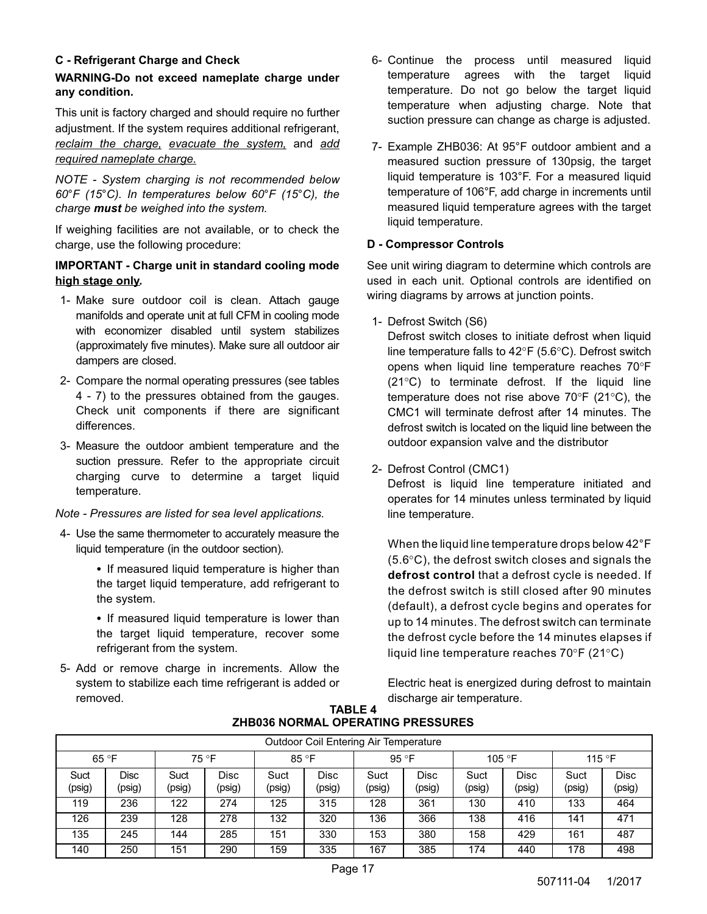# **C - Refrigerant Charge and Check**

# **WARNING-Do not exceed nameplate charge under any condition.**

This unit is factory charged and should require no further adjustment. If the system requires additional refrigerant, *reclaim the charge, evacuate the system,* and *add required nameplate charge.*

*NOTE - System charging is not recommended below 60*°*F (15*°*C). In temperatures below 60*°*F (15*°*C), the charge must be weighed into the system.*

If weighing facilities are not available, or to check the charge, use the following procedure:

# **IMPORTANT - Charge unit in standard cooling mode high stage only.**

- 1- Make sure outdoor coil is clean. Attach gauge manifolds and operate unit at full CFM in cooling mode with economizer disabled until system stabilizes (approximately five minutes). Make sure all outdoor air dampers are closed.
- 2- Compare the normal operating pressures (see tables 4 - [7](#page-17-0)) to the pressures obtained from the gauges. Check unit components if there are significant differences.
- 3- Measure the outdoor ambient temperature and the suction pressure. Refer to the appropriate circuit charging curve to determine a target liquid temperature.

### *Note - Pressures are listed for sea level applications.*

- 4- Use the same thermometer to accurately measure the liquid temperature (in the outdoor section).
	- If measured liquid temperature is higher than the target liquid temperature, add refrigerant to the system.
	- If measured liquid temperature is lower than the target liquid temperature, recover some refrigerant from the system.
- 5- Add or remove charge in increments. Allow the system to stabilize each time refrigerant is added or removed.
- 6- Continue the process until measured liquid temperature agrees with the target liquid temperature. Do not go below the target liquid temperature when adjusting charge. Note that suction pressure can change as charge is adjusted.
- 7- Example ZHB036: At 95°F outdoor ambient and a measured suction pressure of 130psig, the target liquid temperature is 103°F. For a measured liquid temperature of 106°F, add charge in increments until measured liquid temperature agrees with the target liquid temperature.

### **D - Compressor Controls**

See unit wiring diagram to determine which controls are used in each unit. Optional controls are identified on wiring diagrams by arrows at junction points.

1- Defrost Switch (S6)

Defrost switch closes to initiate defrost when liquid line temperature falls to 42°F (5.6°C). Defrost switch opens when liquid line temperature reaches 70°F (21°C) to terminate defrost. If the liquid line temperature does not rise above 70°F (21°C), the CMC1 will terminate defrost after 14 minutes. The defrost switch is located on the liquid line between the outdoor expansion valve and the distributor

2- Defrost Control (CMC1)

Defrost is liquid line temperature initiated and operates for 14 minutes unless terminated by liquid line temperature.

When the liquid line temperature drops below 42°F (5.6°C), the defrost switch closes and signals the **defrost control** that a defrost cycle is needed. If the defrost switch is still closed after 90 minutes (default), a defrost cycle begins and operates for up to 14 minutes. The defrost switch can terminate the defrost cycle before the 14 minutes elapses if liquid line temperature reaches 70°F (21°C)

Electric heat is energized during defrost to maintain discharge air temperature.

|                | <b>Outdoor Coil Entering Air Temperature</b> |                |                |                |                |                |                |                |                       |                |                |  |  |  |
|----------------|----------------------------------------------|----------------|----------------|----------------|----------------|----------------|----------------|----------------|-----------------------|----------------|----------------|--|--|--|
|                | 65 °F<br>75 °F                               |                |                |                | 85 °F          |                | 95 °F          |                | 105 °F                | 115 °F         |                |  |  |  |
| Suct<br>(psig) | Disc<br>(psig)                               | Suct<br>(psig) | Disc<br>(psig) | Suct<br>(psig) | Disc<br>(psig) | Suct<br>(psig) | Disc<br>(psig) | Suct<br>(psig) | <b>Disc</b><br>(psig) | Suct<br>(psig) | Disc<br>(psig) |  |  |  |
| 119            | 236                                          | 122            | 274            | 125            | 315            | 128            | 361            | 130            | 410                   | 133            | 464            |  |  |  |
| 126            | 239                                          | 128            | 278            | 132            | 320            | 136            | 366            | 138            | 416                   | 141            | 471            |  |  |  |
| 135            | 245                                          | 144            | 285            | 151            | 330            | 153            | 380            | 158            | 429                   | 161            | 487            |  |  |  |
| 140            | 250                                          | 151            | 290            | 159            | 335            | 167            | 385            | 174            | 440                   | 178            | 498            |  |  |  |

#### **TABLE 4 ZHB036 NORMAL OPERATING PRESSURES**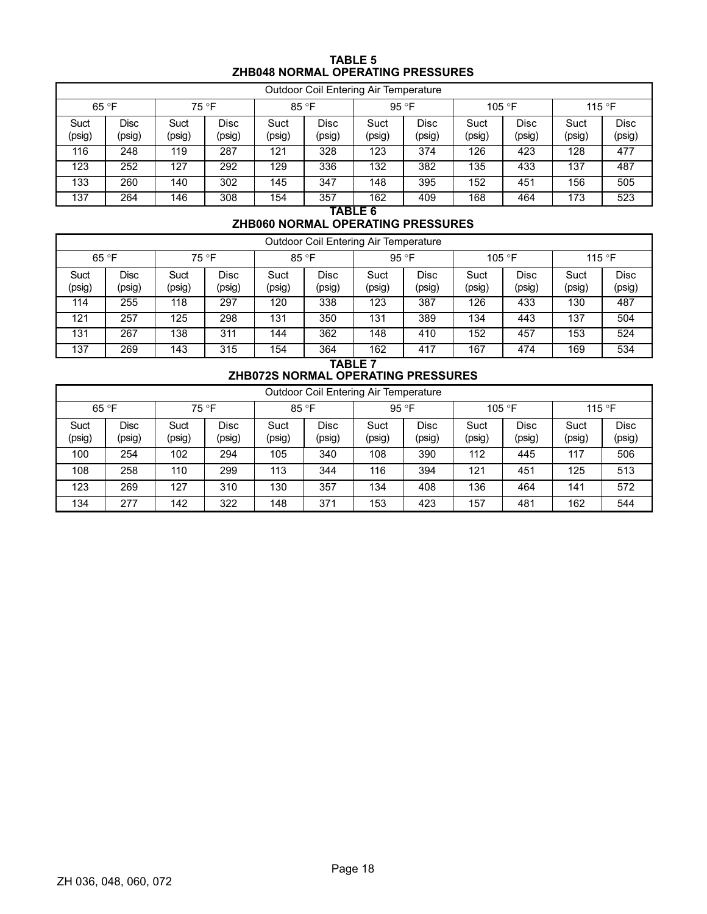# **TABLE 5 ZHB048 NORMAL OPERATING PRESSURES**

<span id="page-17-0"></span>

|                | <b>Outdoor Coil Entering Air Temperature</b> |                |                |                |                |                        |                |                 |                |                |                |  |  |
|----------------|----------------------------------------------|----------------|----------------|----------------|----------------|------------------------|----------------|-----------------|----------------|----------------|----------------|--|--|
| 65 °F          |                                              | 75 °F          |                | 85 °F          |                | 95 °F                  |                | 105 $\degree$ F |                | 115 °F         |                |  |  |
| Suct<br>(psig) | Disc<br>(psig)                               | Suct<br>(psig) | Disc<br>(psig) | Suct<br>(psig) | Disc<br>(psig) | Suct<br>(psig)         | Disc<br>(psig) | Suct<br>(psig)  | Disc<br>(psig) | Suct<br>(psig) | Disc<br>(psig) |  |  |
| 116            | 248                                          | 119            | 287            | 121            | 328            | 123                    | 374            | 126             | 423            | 128            | 477            |  |  |
| 123            | 252                                          | 127            | 292            | 129            | 336            | 132                    | 382            | 135             | 433            | 137            | 487            |  |  |
| 133            | 260                                          | 140            | 302            | 145            | 347            | 148                    | 395            | 152             | 451            | 156            | 505            |  |  |
| 137            | 264                                          | 146            | 308            | 154            | 357            | 162<br>---- <i>-</i> - | 409            | 168             | 464            | 173            | 523            |  |  |

**TABLE 6**

# **ZHB060 NORMAL OPERATING PRESSURES**

|                | <b>Outdoor Coil Entering Air Temperature</b> |                |                |                |                       |                |                |                |                       |                |                |  |  |  |
|----------------|----------------------------------------------|----------------|----------------|----------------|-----------------------|----------------|----------------|----------------|-----------------------|----------------|----------------|--|--|--|
| 65 °F<br>75 °F |                                              |                | 85 °F          |                | 95 $\degree$ F        |                | 105 °F         |                | 115 °F                |                |                |  |  |  |
| Suct<br>(psig) | Disc<br>(psig)                               | Suct<br>(psig) | Disc<br>(psig) | Suct<br>(psig) | <b>Disc</b><br>(psig) | Suct<br>(psig) | Disc<br>(psig) | Suct<br>(psig) | <b>Disc</b><br>(psig) | Suct<br>(psig) | Disc<br>(psig) |  |  |  |
| 114            | 255                                          | 118            | 297            | 120            | 338                   | 123            | 387            | 126            | 433                   | 130            | 487            |  |  |  |
| 121            | 257                                          | 125            | 298            | 131            | 350                   | 131            | 389            | 134            | 443                   | 137            | 504            |  |  |  |
| 131            | 267                                          | 138            | 311            | 144            | 362                   | 148            | 410            | 152            | 457                   | 153            | 524            |  |  |  |
| 137            | 269                                          | 143            | 315            | 154            | 364                   | 162            | 417            | 167            | 474                   | 169            | 534            |  |  |  |

#### **TABLE 7 ZHB072S NORMAL OPERATING PRESSURES**

|                | Outdoor Coil Entering Air Temperature |                |                |                |                       |                |                |                 |                |                |                |  |  |  |
|----------------|---------------------------------------|----------------|----------------|----------------|-----------------------|----------------|----------------|-----------------|----------------|----------------|----------------|--|--|--|
| 65 °F<br>75 °F |                                       |                |                | 85 °F          |                       | 95 °F          |                | 105 $\degree$ F | 115 °F         |                |                |  |  |  |
| Suct<br>(psig) | <b>Disc</b><br>(psig)                 | Suct<br>(psig) | Disc<br>(psig) | Suct<br>(psig) | <b>Disc</b><br>(psig) | Suct<br>(psig) | Disc<br>(psig) | Suct<br>(psig)  | Disc<br>(psig) | Suct<br>(psig) | Disc<br>(psig) |  |  |  |
| 100            | 254                                   | 102            | 294            | 105            | 340                   | 108            | 390            | 112             | 445            | 117            | 506            |  |  |  |
| 108            | 258                                   | 110            | 299            | 113            | 344                   | 116            | 394            | 121             | 451            | 125            | 513            |  |  |  |
| 123            | 269                                   | 127            | 310            | 130            | 357                   | 134            | 408            | 136             | 464            | 141            | 572            |  |  |  |
| 134            | 277                                   | 142            | 322            | 148            | 371                   | 153            | 423            | 157             | 481            | 162            | 544            |  |  |  |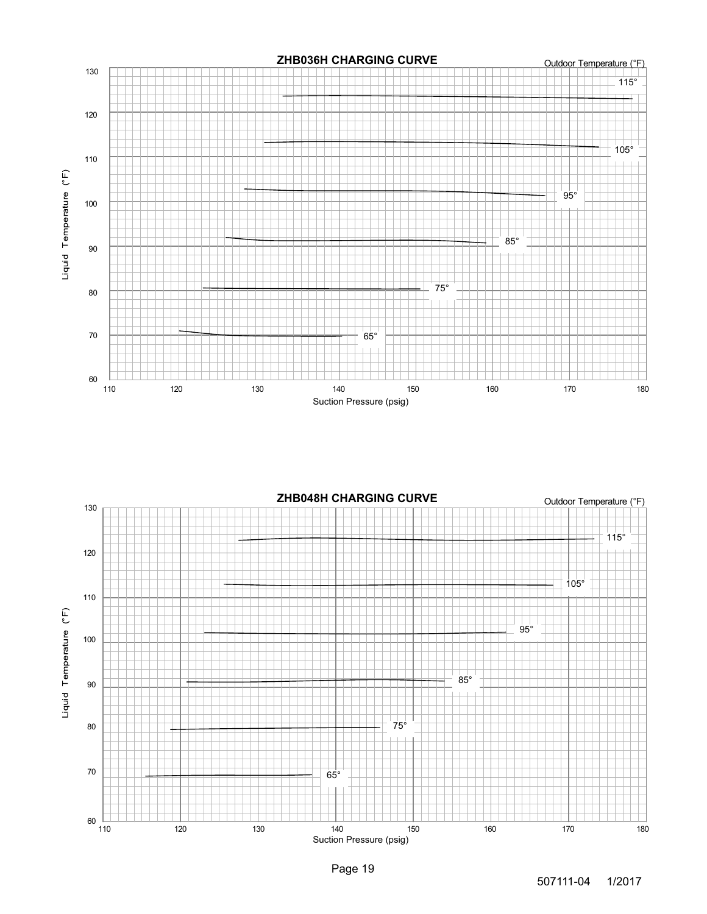

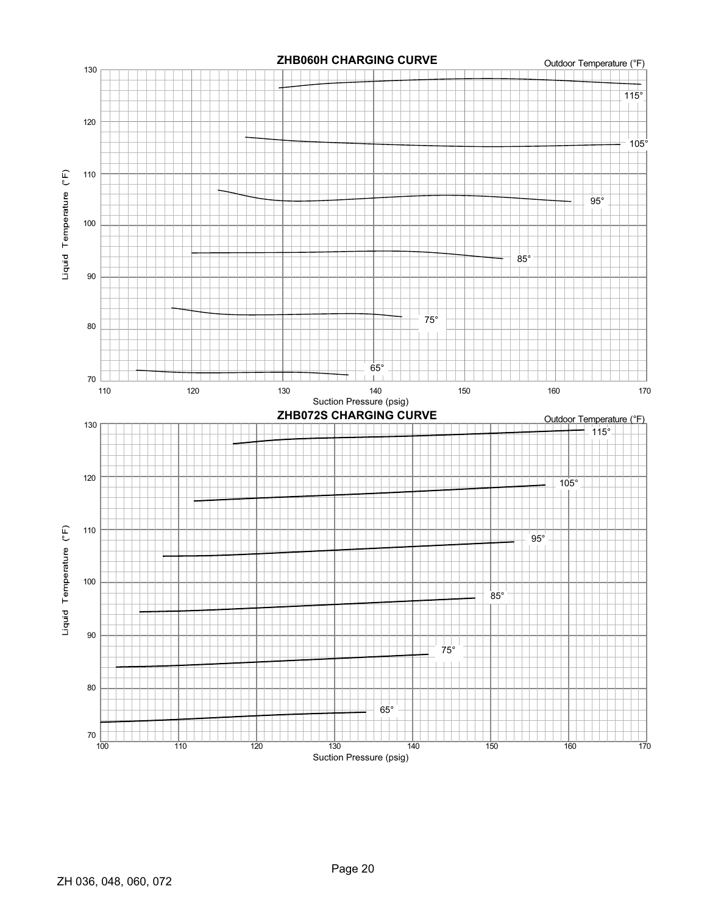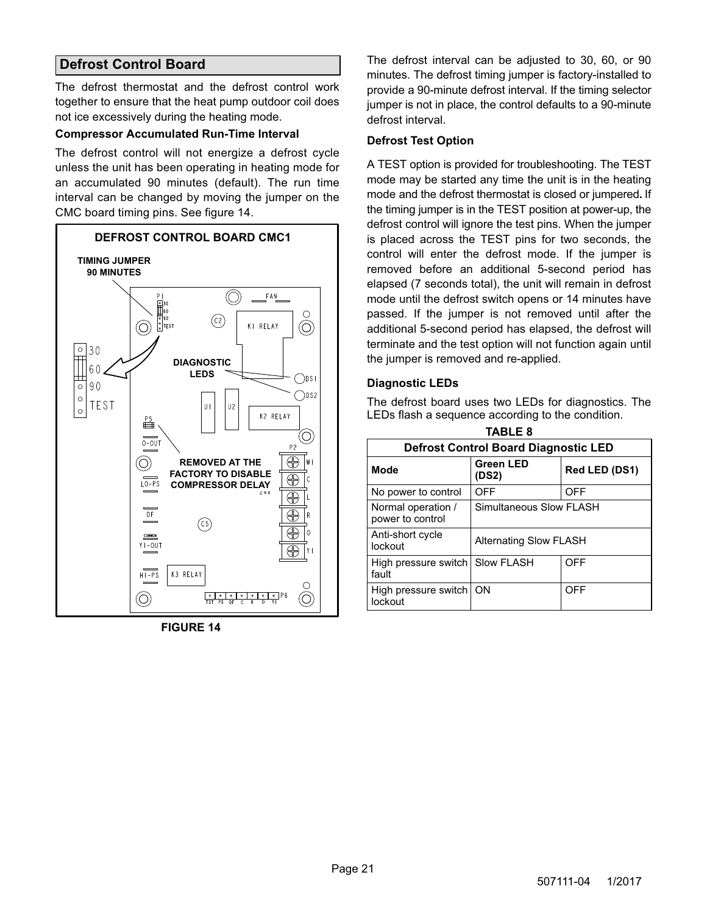# <span id="page-20-0"></span>**Defrost Control Board**

The defrost thermostat and the defrost control work together to ensure that the heat pump outdoor coil does not ice excessively during the heating mode.

#### **Compressor Accumulated Run-Time Interval**

The defrost control will not energize a defrost cycle unless the unit has been operating in heating mode for an accumulated 90 minutes (default). The run time interval can be changed by moving the jumper on the CMC board timing pins. See figure 14.



**FIGURE 14**

The defrost interval can be adjusted to 30, 60, or 90 minutes. The defrost timing jumper is factory-installed to provide a 90-minute defrost interval. If the timing selector jumper is not in place, the control defaults to a 90-minute defrost interval.

#### **Defrost Test Option**

A TEST option is provided for troubleshooting. The TEST mode may be started any time the unit is in the heating mode and the defrost thermostat is closed or jumpered**.** If the timing jumper is in the TEST position at power‐up, the defrost control will ignore the test pins. When the jumper is placed across the TEST pins for two seconds, the control will enter the defrost mode. If the jumper is removed before an additional 5-second period has elapsed (7 seconds total), the unit will remain in defrost mode until the defrost switch opens or 14 minutes have passed. If the jumper is not removed until after the additional 5-second period has elapsed, the defrost will terminate and the test option will not function again until the jumper is removed and re-applied.

#### **Diagnostic LEDs**

The defrost board uses two LEDs for diagnostics. The LEDs flash a sequence according to the condition.

| <b>TABLE 8</b>                              |                               |               |  |
|---------------------------------------------|-------------------------------|---------------|--|
| <b>Defrost Control Board Diagnostic LED</b> |                               |               |  |
| Mode                                        | <b>Green LED</b><br>(DS2)     | Red LED (DS1) |  |
| No power to control                         | OFF                           | OFF           |  |
| Normal operation /<br>power to control      | Simultaneous Slow FLASH       |               |  |
| Anti-short cycle<br>lockout                 | <b>Alternating Slow FLASH</b> |               |  |
| High pressure switch<br>fault               | Slow FLASH                    | OFF           |  |
| High pressure switch<br>lockout             | ON                            | OFF           |  |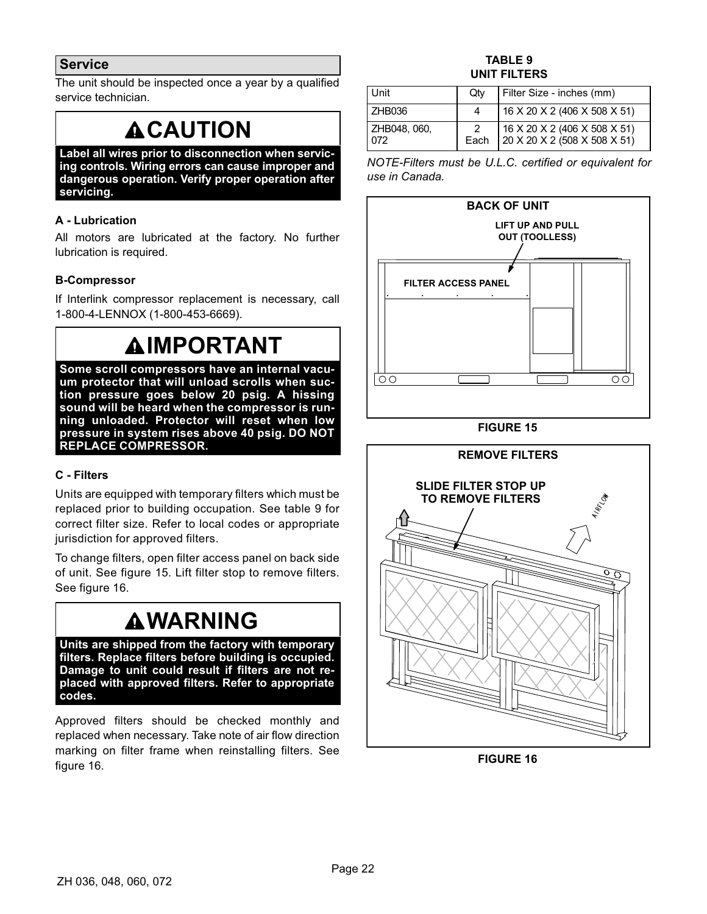# <span id="page-21-0"></span>**Service**

The unit should be inspected once a year by a qualified service technician.

# **ACAUTION**

**Label all wires prior to disconnection when servicing controls. Wiring errors can cause improper and dangerous operation. Verify proper operation after servicing.**

# **A - Lubrication**

All motors are lubricated at the factory. No further lubrication is required.

### **B-Compressor**

If Interlink compressor replacement is necessary, call 1-800-4-LENNOX (1-800-453-6669).

# **IMPORTANT**

**Some scroll compressors have an internal vacuum protector that will unload scrolls when suction pressure goes below 20 psig. A hissing sound will be heard when the compressor is running unloaded. Protector will reset when low pressure in system rises above 40 psig. DO NOT REPLACE COMPRESSOR.**

### **C - Filters**

Units are equipped with temporary filters which must be replaced prior to building occupation. See table 9 for correct filter size. Refer to local codes or appropriate jurisdiction for approved filters.

To change filters, open filter access panel on back side of unit. See figure 15. Lift filter stop to remove filters. See figure 16.

# **WARNING**

**Units are shipped from the factory with temporary filters. Replace filters before building is occupied. Damage to unit could result if filters are not replaced with approved filters. Refer to appropriate codes.**

Approved filters should be checked monthly and replaced when necessary. Take note of air flow direction marking on filter frame when reinstalling filters. See figure 16.

### **TABLE 9 UNIT FILTERS**

| Unit                | Otv | Filter Size - inches (mm)                                               |
|---------------------|-----|-------------------------------------------------------------------------|
| ZHB036              |     | 16 X 20 X 2 (406 X 508 X 51)                                            |
| ZHB048, 060.<br>072 |     | 2   16 X 20 X 2 (406 X 508 X 51)<br>Each   20 X 20 X 2 (508 X 508 X 51) |

*NOTE-Filters must be U.L.C. certified or equivalent for use in Canada.*







**FIGURE 16**